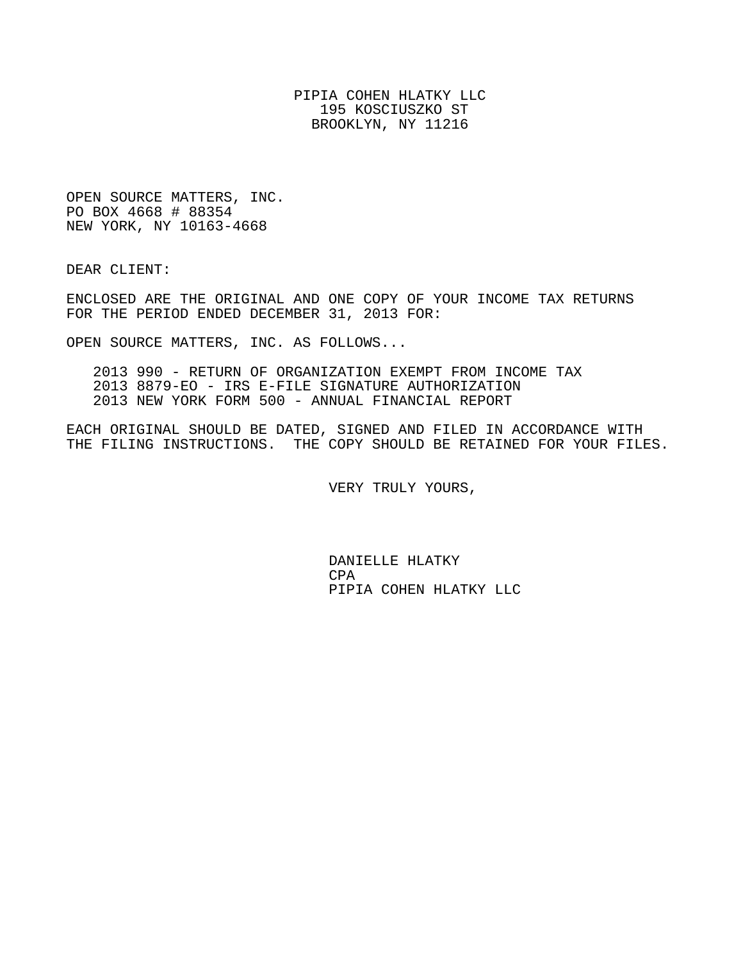PIPIA COHEN HLATKY LLC 195 KOSCIUSZKO ST BROOKLYN, NY 11216

OPEN SOURCE MATTERS, INC. PO BOX 4668 # 88354 NEW YORK, NY 10163-4668

DEAR CLIENT:

ENCLOSED ARE THE ORIGINAL AND ONE COPY OF YOUR INCOME TAX RETURNS FOR THE PERIOD ENDED DECEMBER 31, 2013 FOR:

OPEN SOURCE MATTERS, INC. AS FOLLOWS...

 2013 990 - RETURN OF ORGANIZATION EXEMPT FROM INCOME TAX 2013 8879-EO - IRS E-FILE SIGNATURE AUTHORIZATION 2013 NEW YORK FORM 500 - ANNUAL FINANCIAL REPORT

EACH ORIGINAL SHOULD BE DATED, SIGNED AND FILED IN ACCORDANCE WITH THE FILING INSTRUCTIONS. THE COPY SHOULD BE RETAINED FOR YOUR FILES.

VERY TRULY YOURS,

 DANIELLE HLATKY **CPA** PIPIA COHEN HLATKY LLC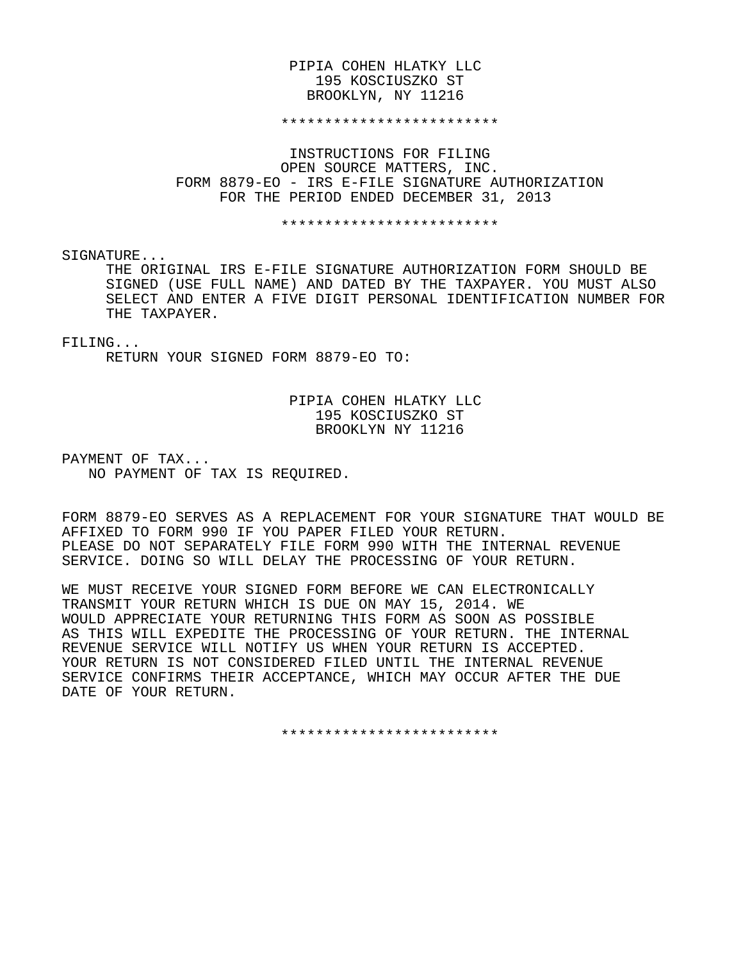#### PIPIA COHEN HLATKY LLC 195 KOSCIUSZKO ST BROOKLYN, NY 11216

#### \*\*\*\*\*\*\*\*\*\*\*\*\*\*\*\*\*\*\*\*\*\*\*\*\*

 INSTRUCTIONS FOR FILING OPEN SOURCE MATTERS, INC. FORM 8879-EO - IRS E-FILE SIGNATURE AUTHORIZATION FOR THE PERIOD ENDED DECEMBER 31, 2013

\*\*\*\*\*\*\*\*\*\*\*\*\*\*\*\*\*\*\*\*\*\*\*\*\*

SIGNATURE...

 THE ORIGINAL IRS E-FILE SIGNATURE AUTHORIZATION FORM SHOULD BE SIGNED (USE FULL NAME) AND DATED BY THE TAXPAYER. YOU MUST ALSO SELECT AND ENTER A FIVE DIGIT PERSONAL IDENTIFICATION NUMBER FOR THE TAXPAYER.

#### FILING...

RETURN YOUR SIGNED FORM 8879-EO TO:

#### PIPIA COHEN HLATKY LLC 195 KOSCIUSZKO ST BROOKLYN NY 11216

PAYMENT OF TAX... NO PAYMENT OF TAX IS REQUIRED.

FORM 8879-EO SERVES AS A REPLACEMENT FOR YOUR SIGNATURE THAT WOULD BE AFFIXED TO FORM 990 IF YOU PAPER FILED YOUR RETURN. PLEASE DO NOT SEPARATELY FILE FORM 990 WITH THE INTERNAL REVENUE SERVICE. DOING SO WILL DELAY THE PROCESSING OF YOUR RETURN.

WE MUST RECEIVE YOUR SIGNED FORM BEFORE WE CAN ELECTRONICALLY TRANSMIT YOUR RETURN WHICH IS DUE ON MAY 15, 2014. WE WOULD APPRECIATE YOUR RETURNING THIS FORM AS SOON AS POSSIBLE AS THIS WILL EXPEDITE THE PROCESSING OF YOUR RETURN. THE INTERNAL REVENUE SERVICE WILL NOTIFY US WHEN YOUR RETURN IS ACCEPTED. YOUR RETURN IS NOT CONSIDERED FILED UNTIL THE INTERNAL REVENUE SERVICE CONFIRMS THEIR ACCEPTANCE, WHICH MAY OCCUR AFTER THE DUE DATE OF YOUR RETURN.

\*\*\*\*\*\*\*\*\*\*\*\*\*\*\*\*\*\*\*\*\*\*\*\*\*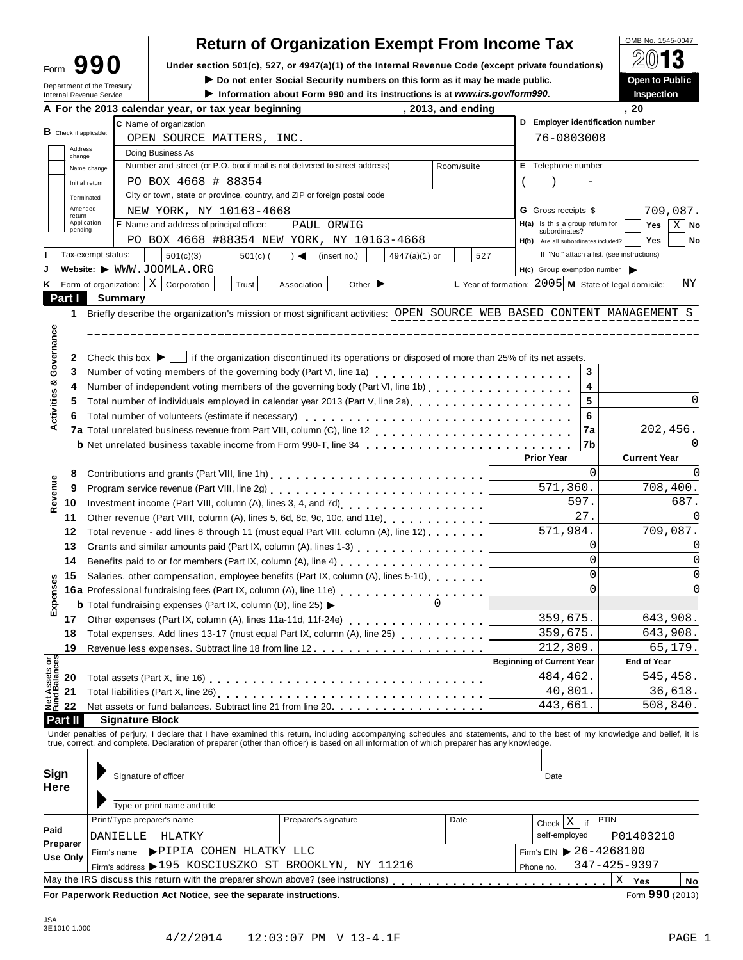| Form | 90                                                            |
|------|---------------------------------------------------------------|
|      | Department of the Treasury<br><b>Internal Revenue Service</b> |

## **Return of Organization Exempt From Income Tax**  $\frac{\text{OMB No. 1545-0047}}{2013}$

**Example 1990** Under section 501(c), 527, or 4947(a)(1) of the Internal Revenue Code (except private foundations) <u>A</u><sup>∪</sup> in D<br>Do not enter Social Security numbers on this form as it may be made public. Open to Public

 $\blacktriangleright$  Do not enter Social Security numbers on this form as it may be made public.

Information about Form 990 and its instructions is at www.irs.gov/form990.

|  | <b>Inspection</b> |  |  |
|--|-------------------|--|--|
|  |                   |  |  |

|                                |                               |                    | A For the 2013 calendar year, or tax year beginning                                                                                                                                                                            | , 2013, and ending |                                                      | , 20                                       |
|--------------------------------|-------------------------------|--------------------|--------------------------------------------------------------------------------------------------------------------------------------------------------------------------------------------------------------------------------|--------------------|------------------------------------------------------|--------------------------------------------|
|                                |                               |                    | C Name of organization                                                                                                                                                                                                         |                    | D Employer identification number                     |                                            |
|                                | <b>B</b> Check if applicable: |                    | OPEN SOURCE MATTERS, INC.                                                                                                                                                                                                      |                    | 76-0803008                                           |                                            |
|                                | Address<br>change             |                    | Doing Business As                                                                                                                                                                                                              |                    |                                                      |                                            |
|                                |                               | Name change        | Number and street (or P.O. box if mail is not delivered to street address)                                                                                                                                                     | Room/suite         | E Telephone number                                   |                                            |
|                                |                               | Initial return     | PO BOX 4668 # 88354                                                                                                                                                                                                            |                    |                                                      |                                            |
|                                | Terminated                    |                    | City or town, state or province, country, and ZIP or foreign postal code                                                                                                                                                       |                    |                                                      |                                            |
|                                | Amended                       |                    | NEW YORK, NY 10163-4668                                                                                                                                                                                                        |                    | <b>G</b> Gross receipts \$                           | 709,087.                                   |
|                                | return<br>Application         |                    | F Name and address of principal officer:<br>PAUL ORWIG                                                                                                                                                                         |                    | H(a) Is this a group return for                      | Yes<br>$X \mid$ No                         |
|                                | pending                       |                    | PO BOX 4668 #88354 NEW YORK, NY 10163-4668                                                                                                                                                                                     |                    | subordinates?<br>H(b) Are all subordinates included? | Yes<br>No                                  |
|                                |                               | Tax-exempt status: | 501(c)(3)<br>$501(c)$ (<br>$) \triangleleft$ (insert no.)<br>$4947(a)(1)$ or                                                                                                                                                   | 527                |                                                      | If "No," attach a list. (see instructions) |
|                                |                               |                    | Website: WWW.JOOMLA.ORG                                                                                                                                                                                                        |                    | $H(c)$ Group exemption number                        |                                            |
| κ                              |                               |                    | Form of organization: $X \mid$ Corporation<br>Trust<br>Association<br>Other $\blacktriangleright$                                                                                                                              |                    | L Year of formation: 2005 M State of legal domicile: | ΝY                                         |
|                                | Part I                        |                    | Summary                                                                                                                                                                                                                        |                    |                                                      |                                            |
|                                |                               |                    | Briefly describe the organization's mission or most significant activities: OPEN SOURCE WEB BASED CONTENT MANAGEMENT S                                                                                                         |                    |                                                      |                                            |
|                                | 1                             |                    |                                                                                                                                                                                                                                |                    |                                                      |                                            |
|                                |                               |                    |                                                                                                                                                                                                                                |                    |                                                      |                                            |
|                                |                               |                    |                                                                                                                                                                                                                                |                    |                                                      |                                            |
| Governance                     | 2                             |                    | Check this box $\blacktriangleright$   if the organization discontinued its operations or disposed of more than 25% of its net assets.                                                                                         |                    |                                                      |                                            |
| ఱ                              | 3                             |                    |                                                                                                                                                                                                                                |                    | 3                                                    |                                            |
|                                | 4                             |                    |                                                                                                                                                                                                                                |                    | 4                                                    |                                            |
| ctivities                      | 5                             |                    | Total number of individuals employed in calendar year 2013 (Part V, line 2a)<br>The 2a)                                                                                                                                        |                    | 5                                                    | 0                                          |
|                                | 6                             |                    |                                                                                                                                                                                                                                |                    | 6                                                    |                                            |
| ∢                              |                               |                    |                                                                                                                                                                                                                                |                    | 7a                                                   | 202,456.                                   |
|                                |                               |                    | <b>b</b> Net unrelated business taxable income from Form 990-T, line 34                                                                                                                                                        |                    | 7b                                                   | 0                                          |
|                                |                               |                    |                                                                                                                                                                                                                                |                    | <b>Prior Year</b>                                    | <b>Current Year</b>                        |
|                                | 8                             |                    |                                                                                                                                                                                                                                |                    | $\Omega$                                             | 0                                          |
|                                | 9                             |                    | Program service revenue (Part VIII, line 2g)<br>                                                                                                                                                                               |                    | 571,360.                                             | 708,400.                                   |
| Revenue                        | 10                            |                    | Investment income (Part VIII, column (A), lines 3, 4, and 7d)<br>[10] The Land 7d Land 7d Land 2, 2014, 2015                                                                                                                   |                    | 597.                                                 | 687.                                       |
|                                | 11                            |                    | Other revenue (Part VIII, column (A), lines 5, 6d, 8c, 9c, 10c, and 11e)                                                                                                                                                       |                    | 27.                                                  |                                            |
|                                | 12                            |                    | Total revenue - add lines 8 through 11 (must equal Part VIII, column (A), line 12)                                                                                                                                             |                    | 571,984.                                             | 709,087.                                   |
|                                | 13                            |                    | Grants and similar amounts paid (Part IX, column (A), lines 1-3)                                                                                                                                                               |                    | 0                                                    |                                            |
|                                | 14                            |                    | Benefits paid to or for members (Part IX, column (A), line 4)                                                                                                                                                                  |                    | $\Omega$                                             | 0                                          |
|                                | 15                            |                    | Salaries, other compensation, employee benefits (Part IX, column (A), lines 5-10)                                                                                                                                              |                    | $\Omega$                                             | 0                                          |
| Expenses                       |                               |                    | 16a Professional fundraising fees (Part IX, column (A), line 11e)<br>16a Professional fundraising fees (Part IX, column (A), line 11e)                                                                                         |                    | $\Omega$                                             | 0                                          |
|                                |                               |                    | <b>b</b> Total fundraising expenses (Part IX, column (D), line 25) $\triangleright$ ______________0                                                                                                                            |                    |                                                      |                                            |
|                                | 17                            |                    | Other expenses (Part IX, column (A), lines 11a-11d, 11f-24e) [14] [2010] [2010] [2010] [2010] [2010] [2010] [3010] [3010] [3010] [3010] [3010] [3010] [3010] [3010] [3010] [3010] [3010] [3010] [3010] [3010] [3010] [3010] [3 |                    | 359,675.                                             | 643,908.                                   |
|                                | 18                            |                    | Total expenses. Add lines 13-17 (must equal Part IX, column (A), line 25)                                                                                                                                                      |                    | 359,675.                                             | 643,908.                                   |
|                                | 19                            |                    |                                                                                                                                                                                                                                |                    | 212,309.                                             | 65,179.                                    |
|                                |                               |                    |                                                                                                                                                                                                                                |                    | <b>Beginning of Current Year</b>                     | <b>End of Year</b>                         |
|                                | 20                            |                    | Total assets (Part X, line 16)                                                                                                                                                                                                 |                    | 484,462.                                             | 545,458.                                   |
| Net Assets or<br>Fund Balances | 21                            |                    | Total liabilities (Part X, line 26) [ [ [ [ [ ] ] ] [ [ ] ] [ ] ] [ ] ] [ ] ] [ ] [ ] [ ] ] [ ] [ ] [ ] [ ] [ ] [ ] [ ] [ ] [ ] [ ] [ ] [ ] [ ] [ ] [ ] [ ] [ ] [ ] [ ] [ ] [ ] [ ] [ ] [ ] [ ] [ ] [ ] [ ] [ ] [ ] [ ] [ ] [  |                    | 40,801.                                              | 36,618.                                    |
|                                | 22                            |                    | Net assets or fund balances. Subtract line 21 from line 20                                                                                                                                                                     |                    | 443,661.                                             | 508,840.                                   |
|                                | Part II                       |                    | <b>Signature Block</b>                                                                                                                                                                                                         |                    |                                                      |                                            |
|                                |                               |                    | Under penalties of perjury, I declare that I have examined this return, including accompanying schedules and statements, and to the best of my knowledge and belief, it is                                                     |                    |                                                      |                                            |
|                                |                               |                    | true, correct, and complete. Declaration of preparer (other than officer) is based on all information of which preparer has any knowledge.                                                                                     |                    |                                                      |                                            |
|                                |                               |                    |                                                                                                                                                                                                                                |                    |                                                      |                                            |
| Sign                           |                               |                    | Signature of officer                                                                                                                                                                                                           |                    | Date                                                 |                                            |
| Here                           |                               |                    |                                                                                                                                                                                                                                |                    |                                                      |                                            |
|                                |                               |                    | Type or print name and title                                                                                                                                                                                                   |                    |                                                      |                                            |
|                                |                               |                    | Print/Type preparer's name<br>Preparer's signature                                                                                                                                                                             | Date               | $Check \mid X$<br>if                                 | <b>PTIN</b>                                |
| Paid                           |                               |                    | DANIELLE<br>HLATKY                                                                                                                                                                                                             |                    | self-employed                                        | P01403210                                  |
|                                | Preparer                      |                    | PIPIA COHEN HLATKY LLC                                                                                                                                                                                                         |                    | Firm's EIN 26-4268100                                |                                            |
|                                | Use Only                      |                    | Firm's name<br>Firm's address >195 KOSCIUSZKO ST BROOKLYN, NY 11216                                                                                                                                                            |                    |                                                      | 347-425-9397                               |
|                                |                               |                    | May the IRS discuss this return with the preparer shown above? (see instructions)                                                                                                                                              |                    | Phone no.                                            |                                            |
|                                |                               |                    |                                                                                                                                                                                                                                |                    | .                                                    | Χ<br>Yes<br>No<br>Form 990 (2013)          |
|                                |                               |                    | For Paperwork Reduction Act Notice, see the separate instructions.                                                                                                                                                             |                    |                                                      |                                            |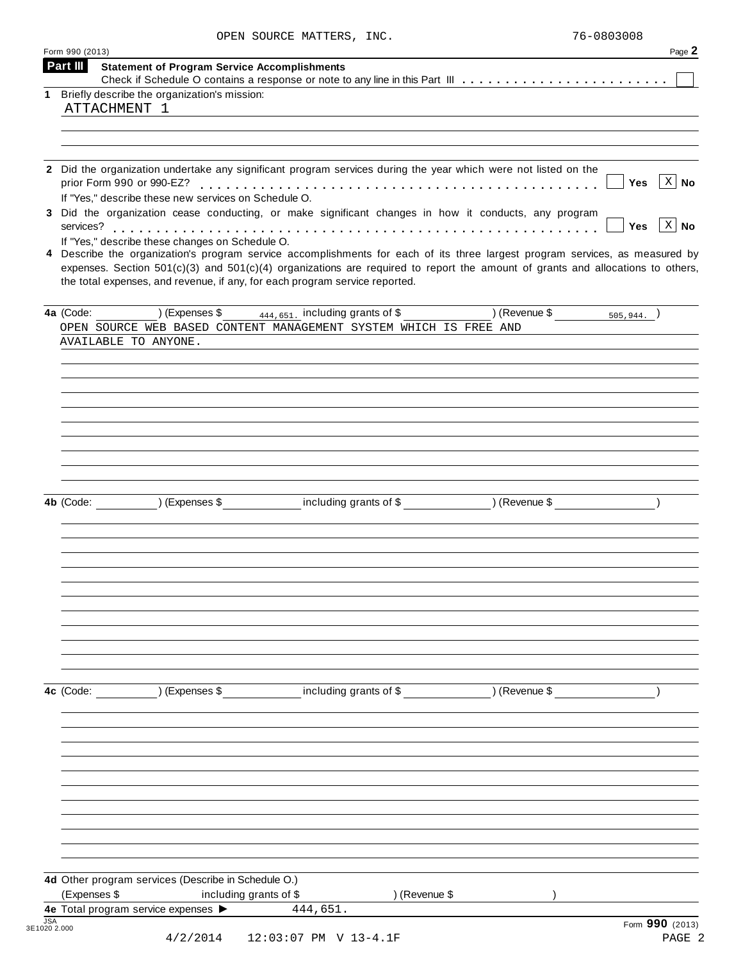|  | OPEN SOURCE MATTERS, INC. | 76-0803008 |
|--|---------------------------|------------|
|  |                           |            |

|             | Form 990 (2013)<br>Part III                                                                                                                                                                                                                                                                                                                       | Page 2                         |
|-------------|---------------------------------------------------------------------------------------------------------------------------------------------------------------------------------------------------------------------------------------------------------------------------------------------------------------------------------------------------|--------------------------------|
|             | <b>Statement of Program Service Accomplishments</b>                                                                                                                                                                                                                                                                                               |                                |
| $\mathbf 1$ | Briefly describe the organization's mission:                                                                                                                                                                                                                                                                                                      |                                |
|             | ATTACHMENT 1                                                                                                                                                                                                                                                                                                                                      |                                |
|             |                                                                                                                                                                                                                                                                                                                                                   |                                |
|             |                                                                                                                                                                                                                                                                                                                                                   |                                |
|             |                                                                                                                                                                                                                                                                                                                                                   |                                |
|             | 2 Did the organization undertake any significant program services during the year which were not listed on the<br>If "Yes," describe these new services on Schedule O.                                                                                                                                                                            | $\mid X \mid$ No<br>Yes        |
|             | 3 Did the organization cease conducting, or make significant changes in how it conducts, any program                                                                                                                                                                                                                                              | $\mid X \mid$ No<br><b>Yes</b> |
|             | If "Yes," describe these changes on Schedule O.                                                                                                                                                                                                                                                                                                   |                                |
|             | 4 Describe the organization's program service accomplishments for each of its three largest program services, as measured by<br>expenses. Section $501(c)(3)$ and $501(c)(4)$ organizations are required to report the amount of grants and allocations to others,<br>the total expenses, and revenue, if any, for each program service reported. |                                |
|             | $(1)$ (Expenses \$ $\frac{444,651}{2}$ including grants of \$<br>$(1)$ (Revenue \$ $505,944.$ )<br>4a (Code:                                                                                                                                                                                                                                      |                                |
|             | OPEN SOURCE WEB BASED CONTENT MANAGEMENT SYSTEM WHICH IS FREE AND                                                                                                                                                                                                                                                                                 |                                |
|             | AVAILABLE TO ANYONE.                                                                                                                                                                                                                                                                                                                              |                                |
|             |                                                                                                                                                                                                                                                                                                                                                   |                                |
|             |                                                                                                                                                                                                                                                                                                                                                   |                                |
|             |                                                                                                                                                                                                                                                                                                                                                   |                                |
|             |                                                                                                                                                                                                                                                                                                                                                   |                                |
|             |                                                                                                                                                                                                                                                                                                                                                   |                                |
|             |                                                                                                                                                                                                                                                                                                                                                   |                                |
|             |                                                                                                                                                                                                                                                                                                                                                   |                                |
|             |                                                                                                                                                                                                                                                                                                                                                   |                                |
|             |                                                                                                                                                                                                                                                                                                                                                   |                                |
|             | (Expenses \$ including grants of \$ ) (Revenue \$<br>4b (Code:                                                                                                                                                                                                                                                                                    |                                |
|             |                                                                                                                                                                                                                                                                                                                                                   |                                |
|             |                                                                                                                                                                                                                                                                                                                                                   |                                |
|             |                                                                                                                                                                                                                                                                                                                                                   |                                |
|             |                                                                                                                                                                                                                                                                                                                                                   |                                |
|             |                                                                                                                                                                                                                                                                                                                                                   |                                |
|             |                                                                                                                                                                                                                                                                                                                                                   |                                |
|             |                                                                                                                                                                                                                                                                                                                                                   |                                |
|             |                                                                                                                                                                                                                                                                                                                                                   |                                |
|             |                                                                                                                                                                                                                                                                                                                                                   |                                |
|             |                                                                                                                                                                                                                                                                                                                                                   |                                |
|             |                                                                                                                                                                                                                                                                                                                                                   |                                |
|             | including grants of \$ (Revenue \$)<br>4c (Code:<br>) (Expenses \$                                                                                                                                                                                                                                                                                |                                |
|             |                                                                                                                                                                                                                                                                                                                                                   |                                |
|             |                                                                                                                                                                                                                                                                                                                                                   |                                |
|             |                                                                                                                                                                                                                                                                                                                                                   |                                |
|             |                                                                                                                                                                                                                                                                                                                                                   |                                |
|             |                                                                                                                                                                                                                                                                                                                                                   |                                |
|             |                                                                                                                                                                                                                                                                                                                                                   |                                |
|             |                                                                                                                                                                                                                                                                                                                                                   |                                |
|             |                                                                                                                                                                                                                                                                                                                                                   |                                |
|             |                                                                                                                                                                                                                                                                                                                                                   |                                |
|             |                                                                                                                                                                                                                                                                                                                                                   |                                |
|             |                                                                                                                                                                                                                                                                                                                                                   |                                |
|             | 4d Other program services (Describe in Schedule O.)                                                                                                                                                                                                                                                                                               |                                |
|             | (Expenses \$<br>including grants of \$<br>) (Revenue \$                                                                                                                                                                                                                                                                                           |                                |
|             | 4e Total program service expenses ><br>444,651.                                                                                                                                                                                                                                                                                                   |                                |
| <b>JSA</b>  | 3E1020 2.000                                                                                                                                                                                                                                                                                                                                      | Form 990 (2013)                |
|             | 4/2/2014<br>12:03:07 PM V 13-4.1F                                                                                                                                                                                                                                                                                                                 | PAGE 2                         |
|             |                                                                                                                                                                                                                                                                                                                                                   |                                |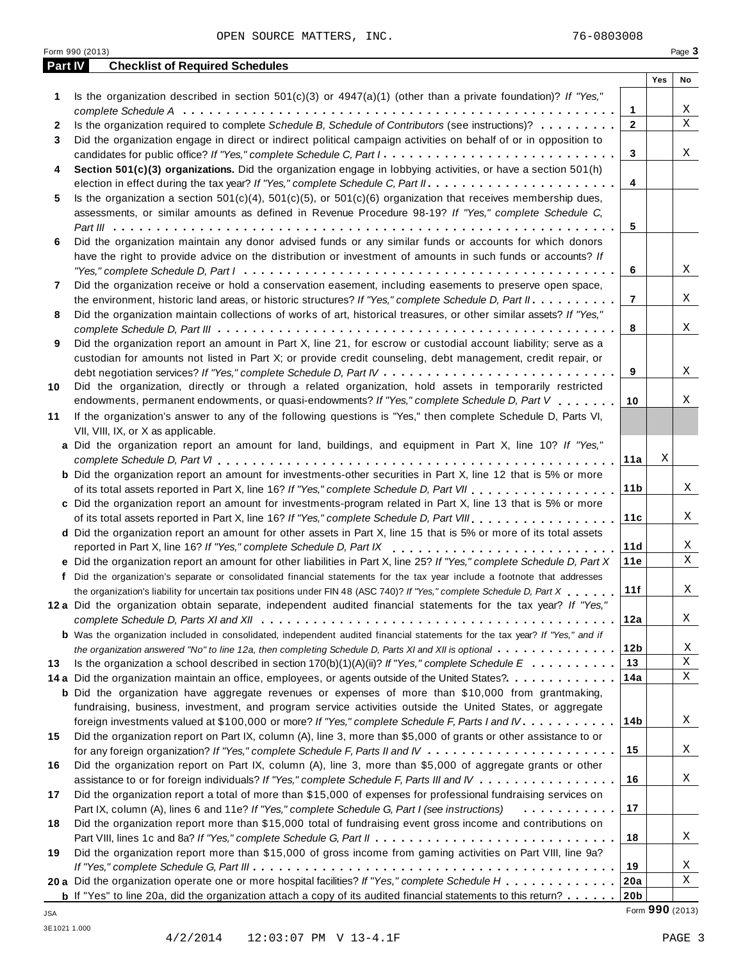|         | Form 990 (2013)                                                                                                                                                                                       |     | Page 3                  |
|---------|-------------------------------------------------------------------------------------------------------------------------------------------------------------------------------------------------------|-----|-------------------------|
| Part IV | <b>Checklist of Required Schedules</b>                                                                                                                                                                |     |                         |
|         |                                                                                                                                                                                                       | Yes | No                      |
| 1       | Is the organization described in section $501(c)(3)$ or $4947(a)(1)$ (other than a private foundation)? If "Yes,"                                                                                     |     |                         |
|         | $\mathbf{1}$                                                                                                                                                                                          |     | Χ                       |
| 2       | Is the organization required to complete Schedule B, Schedule of Contributors (see instructions)?<br>$\overline{2}$                                                                                   |     | $\overline{\mathbf{x}}$ |
| 3       | Did the organization engage in direct or indirect political campaign activities on behalf of or in opposition to                                                                                      |     |                         |
|         | 3<br>candidates for public office? If "Yes," complete Schedule C, Part I.                                                                                                                             |     | Χ                       |
| 4       | Section 501(c)(3) organizations. Did the organization engage in lobbying activities, or have a section 501(h)                                                                                         |     |                         |
|         | 4                                                                                                                                                                                                     |     |                         |
| 5       | Is the organization a section $501(c)(4)$ , $501(c)(5)$ , or $501(c)(6)$ organization that receives membership dues,                                                                                  |     |                         |
|         | assessments, or similar amounts as defined in Revenue Procedure 98-19? If "Yes," complete Schedule C,                                                                                                 |     |                         |
|         | 5                                                                                                                                                                                                     |     |                         |
| 6       | Did the organization maintain any donor advised funds or any similar funds or accounts for which donors                                                                                               |     |                         |
|         | have the right to provide advice on the distribution or investment of amounts in such funds or accounts? If                                                                                           |     |                         |
|         | 6                                                                                                                                                                                                     |     | Χ                       |
| 7       | Did the organization receive or hold a conservation easement, including easements to preserve open space,                                                                                             |     |                         |
|         | $\overline{7}$<br>the environment, historic land areas, or historic structures? If "Yes," complete Schedule D, Part II.                                                                               |     | Χ                       |
| 8       | Did the organization maintain collections of works of art, historical treasures, or other similar assets? If "Yes,"                                                                                   |     |                         |
|         | 8                                                                                                                                                                                                     |     | Χ                       |
| 9       | Did the organization report an amount in Part X, line 21, for escrow or custodial account liability; serve as a                                                                                       |     |                         |
|         | custodian for amounts not listed in Part X; or provide credit counseling, debt management, credit repair, or                                                                                          |     |                         |
|         | 9                                                                                                                                                                                                     |     | Χ                       |
| 10      | Did the organization, directly or through a related organization, hold assets in temporarily restricted                                                                                               |     |                         |
|         | endowments, permanent endowments, or quasi-endowments? If "Yes," complete Schedule D, Part V<br>10                                                                                                    |     | Χ                       |
| 11      | If the organization's answer to any of the following questions is "Yes," then complete Schedule D, Parts VI,                                                                                          |     |                         |
|         | VII, VIII, IX, or X as applicable.                                                                                                                                                                    |     |                         |
|         | a Did the organization report an amount for land, buildings, and equipment in Part X, line 10? If "Yes,"                                                                                              |     |                         |
|         | 11a                                                                                                                                                                                                   | Χ   |                         |
|         | <b>b</b> Did the organization report an amount for investments-other securities in Part X, line 12 that is 5% or more                                                                                 |     |                         |
|         | 11 <sub>b</sub>                                                                                                                                                                                       |     | Χ                       |
|         | c Did the organization report an amount for investments-program related in Part X, line 13 that is 5% or more                                                                                         |     |                         |
|         | 11c                                                                                                                                                                                                   |     | Χ                       |
|         | d Did the organization report an amount for other assets in Part X, line 15 that is 5% or more of its total assets                                                                                    |     |                         |
|         | 11d                                                                                                                                                                                                   |     | X                       |
|         | reported in Part X, line 16? If "Yes," complete Schedule D, Part IX<br>11e<br>e Did the organization report an amount for other liabilities in Part X, line 25? If "Yes," complete Schedule D, Part X |     | $\mathbf X$             |
|         |                                                                                                                                                                                                       |     |                         |
|         | f Did the organization's separate or consolidated financial statements for the tax year include a footnote that addresses                                                                             |     |                         |
|         | 11f<br>the organization's liability for uncertain tax positions under FIN 48 (ASC 740)? If "Yes," complete Schedule D, Part X.                                                                        |     | Χ                       |
|         | 12a Did the organization obtain separate, independent audited financial statements for the tax year? If "Yes,"                                                                                        |     |                         |
|         | 12a                                                                                                                                                                                                   |     | X                       |
|         | <b>b</b> Was the organization included in consolidated, independent audited financial statements for the tax year? If "Yes," and if                                                                   |     |                         |
|         | 12 <sub>b</sub><br>the organization answered "No" to line 12a, then completing Schedule D, Parts XI and XII is optional                                                                               |     | Χ<br>$\mathbf X$        |
| 13      | 13<br>Is the organization a school described in section $170(b)(1)(A)(ii)?$ If "Yes," complete Schedule $E_1, \ldots, \ldots, \ldots$                                                                 |     |                         |
|         | 14a<br>14 a Did the organization maintain an office, employees, or agents outside of the United States?.                                                                                              |     | Χ                       |
|         | <b>b</b> Did the organization have aggregate revenues or expenses of more than \$10,000 from grantmaking,                                                                                             |     |                         |
|         | fundraising, business, investment, and program service activities outside the United States, or aggregate                                                                                             |     |                         |
|         | 14 <sub>b</sub><br>foreign investments valued at \$100,000 or more? If "Yes," complete Schedule F, Parts I and IV                                                                                     |     | Χ                       |
| 15      | Did the organization report on Part IX, column (A), line 3, more than \$5,000 of grants or other assistance to or                                                                                     |     |                         |
|         | 15                                                                                                                                                                                                    |     | X                       |
| 16      | Did the organization report on Part IX, column (A), line 3, more than \$5,000 of aggregate grants or other                                                                                            |     |                         |
|         | 16<br>assistance to or for foreign individuals? If "Yes," complete Schedule F, Parts III and IV                                                                                                       |     | X                       |
| 17      | Did the organization report a total of more than \$15,000 of expenses for professional fundraising services on                                                                                        |     |                         |
|         | 17<br>Part IX, column (A), lines 6 and 11e? If "Yes," complete Schedule G, Part I (see instructions)<br>.                                                                                             |     |                         |
| 18      | Did the organization report more than \$15,000 total of fundraising event gross income and contributions on                                                                                           |     |                         |
|         | 18                                                                                                                                                                                                    |     | Χ                       |
| 19      | Did the organization report more than \$15,000 of gross income from gaming activities on Part VIII, line 9a?                                                                                          |     |                         |
|         | 19                                                                                                                                                                                                    |     | Χ                       |
|         | 20 a Did the organization operate one or more hospital facilities? If "Yes," complete Schedule H<br>20a                                                                                               |     | Χ                       |
|         | 20 <sub>b</sub><br><b>b</b> If "Yes" to line 20a, did the organization attach a copy of its audited financial statements to this return?                                                              |     |                         |

Form **990** (2013) JSA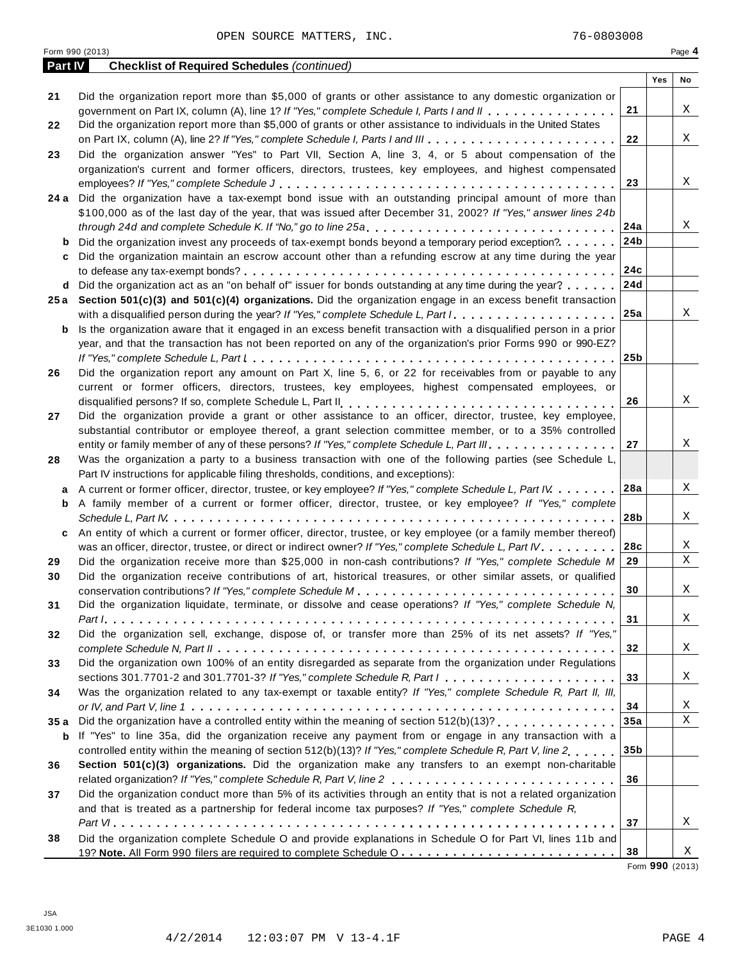|                | Form 990 (2013)                                                                                                                     |                 |     | Page 4       |
|----------------|-------------------------------------------------------------------------------------------------------------------------------------|-----------------|-----|--------------|
| <b>Part IV</b> | <b>Checklist of Required Schedules (continued)</b>                                                                                  |                 |     |              |
|                |                                                                                                                                     |                 | Yes | No           |
| 21             | Did the organization report more than \$5,000 of grants or other assistance to any domestic organization or                         | 21              |     | Χ            |
|                | government on Part IX, column (A), line 1? If "Yes," complete Schedule I, Parts I and II                                            |                 |     |              |
| 22             | Did the organization report more than \$5,000 of grants or other assistance to individuals in the United States                     |                 |     |              |
|                |                                                                                                                                     | 22              |     | Χ            |
| 23             | Did the organization answer "Yes" to Part VII, Section A, line 3, 4, or 5 about compensation of the                                 |                 |     |              |
|                | organization's current and former officers, directors, trustees, key employees, and highest compensated                             |                 |     |              |
|                |                                                                                                                                     | 23              |     | Χ            |
|                | 24 a Did the organization have a tax-exempt bond issue with an outstanding principal amount of more than                            |                 |     |              |
|                | \$100,000 as of the last day of the year, that was issued after December 31, 2002? If "Yes," answer lines 24b                       |                 |     |              |
|                | through 24d and complete Schedule K. If "No," go to line 25a                                                                        | 24a             |     | Χ            |
| b              | Did the organization invest any proceeds of tax-exempt bonds beyond a temporary period exception?                                   | 24b             |     |              |
| c              | Did the organization maintain an escrow account other than a refunding escrow at any time during the year                           |                 |     |              |
|                |                                                                                                                                     | 24c             |     |              |
| d              | Did the organization act as an "on behalf of" issuer for bonds outstanding at any time during the year?                             | 24d             |     |              |
|                | 25a Section 501(c)(3) and 501(c)(4) organizations. Did the organization engage in an excess benefit transaction                     |                 |     |              |
|                | with a disqualified person during the year? If "Yes," complete Schedule L, Part I                                                   | 25a             |     | Χ            |
| b              | Is the organization aware that it engaged in an excess benefit transaction with a disqualified person in a prior                    |                 |     |              |
|                | year, and that the transaction has not been reported on any of the organization's prior Forms 990 or 990-EZ?                        |                 |     |              |
|                |                                                                                                                                     | 25 <sub>b</sub> |     |              |
| 26             | Did the organization report any amount on Part X, line 5, 6, or 22 for receivables from or payable to any                           |                 |     |              |
|                | current or former officers, directors, trustees, key employees, highest compensated employees, or                                   |                 |     |              |
|                |                                                                                                                                     | 26              |     | Χ            |
| 27             | Did the organization provide a grant or other assistance to an officer, director, trustee, key employee,                            |                 |     |              |
|                | substantial contributor or employee thereof, a grant selection committee member, or to a 35% controlled                             |                 |     |              |
|                | entity or family member of any of these persons? If "Yes," complete Schedule L, Part III.                                           | 27              |     | Χ            |
| 28             | Was the organization a party to a business transaction with one of the following parties (see Schedule L,                           |                 |     |              |
|                | Part IV instructions for applicable filing thresholds, conditions, and exceptions):                                                 |                 |     |              |
| a              | A current or former officer, director, trustee, or key employee? If "Yes," complete Schedule L, Part IV                             | 28a             |     | Χ            |
| b              | A family member of a current or former officer, director, trustee, or key employee? If "Yes," complete                              |                 |     |              |
|                |                                                                                                                                     | 28b             |     | Χ            |
| c              | An entity of which a current or former officer, director, trustee, or key employee (or a family member thereof)                     |                 |     |              |
|                | was an officer, director, trustee, or direct or indirect owner? If "Yes," complete Schedule L, Part IV.                             | 28c             |     | Χ            |
| 29             | Did the organization receive more than \$25,000 in non-cash contributions? If "Yes," complete Schedule M                            | 29              |     | $\mathbf X$  |
| 30             | Did the organization receive contributions of art, historical treasures, or other similar assets, or qualified                      |                 |     |              |
|                |                                                                                                                                     | 30 <sub>o</sub> |     | X            |
| 31             | Did the organization liquidate, terminate, or dissolve and cease operations? If "Yes," complete Schedule N,                         |                 |     |              |
|                |                                                                                                                                     | 31              |     | X            |
| 32             | Did the organization sell, exchange, dispose of, or transfer more than 25% of its net assets? If "Yes,"                             |                 |     |              |
|                |                                                                                                                                     | 32              |     | X            |
| 33             | Did the organization own 100% of an entity disregarded as separate from the organization under Regulations                          |                 |     |              |
|                | sections 301.7701-2 and 301.7701-3? If "Yes," complete Schedule R, Part $l_1, \ldots, l_l, l_l, \ldots, l_l, l_l, \ldots, l_l, l_l$ | 33              |     | X            |
| 34             | Was the organization related to any tax-exempt or taxable entity? If "Yes," complete Schedule R, Part II, III,                      |                 |     |              |
|                |                                                                                                                                     | 34              |     | Χ            |
| 35a            |                                                                                                                                     | 35a             |     | $\mathbf{X}$ |
| b              | If "Yes" to line 35a, did the organization receive any payment from or engage in any transaction with a                             |                 |     |              |
|                | controlled entity within the meaning of section 512(b)(13)? If "Yes," complete Schedule R, Part V, line 2.,,,,                      | 35b             |     |              |
| 36             | Section 501(c)(3) organizations. Did the organization make any transfers to an exempt non-charitable                                |                 |     |              |
|                |                                                                                                                                     | 36              |     |              |
| 37             | Did the organization conduct more than 5% of its activities through an entity that is not a related organization                    |                 |     |              |
|                | and that is treated as a partnership for federal income tax purposes? If "Yes," complete Schedule R,                                |                 |     |              |
|                |                                                                                                                                     | 37              |     | Χ            |
| 38             | Did the organization complete Schedule O and provide explanations in Schedule O for Part VI, lines 11b and                          |                 |     |              |
|                |                                                                                                                                     | 38              |     | Χ            |
|                |                                                                                                                                     |                 |     |              |

Form **990** (2013)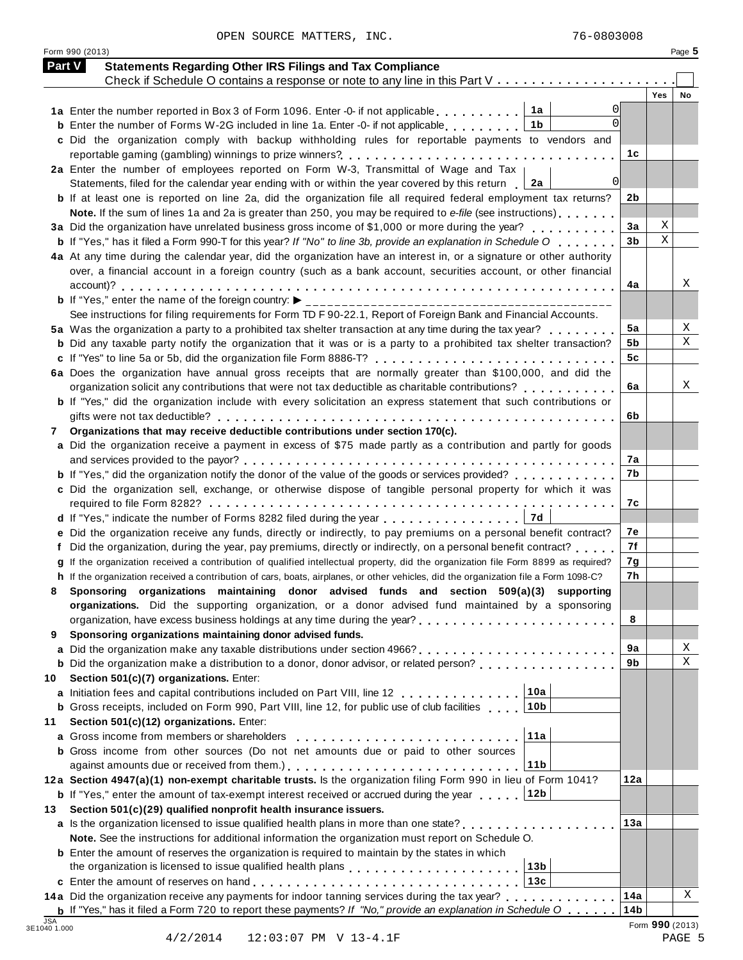Form 990 (2013) Page **5**

| <b>Part V</b> | <b>Statements Regarding Other IRS Filings and Tax Compliance</b>                                                                                                    |                        |                 |    |
|---------------|---------------------------------------------------------------------------------------------------------------------------------------------------------------------|------------------------|-----------------|----|
|               | Check if Schedule O contains a response or note to any line in this Part V                                                                                          |                        | Yes             | No |
|               | 01<br>1a Enter the number reported in Box 3 of Form 1096. Enter -0- if not applicable 1a                                                                            |                        |                 |    |
|               | $\Omega$<br><b>b</b> Enter the number of Forms W-2G included in line 1a. Enter -0- if not applicable<br>1b                                                          |                        |                 |    |
|               | c Did the organization comply with backup withholding rules for reportable payments to vendors and                                                                  |                        |                 |    |
|               |                                                                                                                                                                     | 1c                     |                 |    |
|               | 2a Enter the number of employees reported on Form W-3, Transmittal of Wage and Tax                                                                                  |                        |                 |    |
|               | 0 <br>Statements, filed for the calendar year ending with or within the year covered by this return $\vert$ 2a                                                      |                        |                 |    |
|               | <b>b</b> If at least one is reported on line 2a, did the organization file all required federal employment tax returns?                                             | 2 <sub>b</sub>         |                 |    |
|               | Note. If the sum of lines 1a and 2a is greater than 250, you may be required to e-file (see instructions)                                                           |                        |                 |    |
|               | 3a Did the organization have unrelated business gross income of \$1,000 or more during the year?                                                                    | 3a                     | Χ               |    |
|               | <b>b</b> If "Yes," has it filed a Form 990-T for this year? If "No" to line 3b, provide an explanation in Schedule O                                                | 3 <sub>b</sub>         | $\rm X$         |    |
|               | 4a At any time during the calendar year, did the organization have an interest in, or a signature or other authority                                                |                        |                 |    |
|               | over, a financial account in a foreign country (such as a bank account, securities account, or other financial                                                      |                        |                 |    |
|               |                                                                                                                                                                     | 4a                     |                 |    |
|               |                                                                                                                                                                     |                        |                 |    |
|               | See instructions for filing requirements for Form TD F 90-22.1, Report of Foreign Bank and Financial Accounts.                                                      |                        |                 |    |
|               | 5a Was the organization a party to a prohibited tax shelter transaction at any time during the tax year?                                                            | 5a<br>5b               |                 |    |
|               | <b>b</b> Did any taxable party notify the organization that it was or is a party to a prohibited tax shelter transaction?                                           | 5c                     |                 |    |
|               | 6a Does the organization have annual gross receipts that are normally greater than \$100,000, and did the                                                           |                        |                 |    |
|               |                                                                                                                                                                     | 6a                     |                 |    |
|               | <b>b</b> If "Yes," did the organization include with every solicitation an express statement that such contributions or                                             |                        |                 |    |
|               |                                                                                                                                                                     | 6b                     |                 |    |
| 7             | Organizations that may receive deductible contributions under section 170(c).                                                                                       |                        |                 |    |
|               | a Did the organization receive a payment in excess of \$75 made partly as a contribution and partly for goods                                                       |                        |                 |    |
|               |                                                                                                                                                                     | 7a                     |                 |    |
|               | <b>b</b> If "Yes," did the organization notify the donor of the value of the goods or services provided?                                                            | 7b                     |                 |    |
|               | c Did the organization sell, exchange, or otherwise dispose of tangible personal property for which it was                                                          |                        |                 |    |
|               |                                                                                                                                                                     | 7с                     |                 |    |
|               | d If "Yes," indicate the number of Forms 8282 filed during the year entitled value of the latest value of the N                                                     |                        |                 |    |
|               | e Did the organization receive any funds, directly or indirectly, to pay premiums on a personal benefit contract?                                                   | 7е                     |                 |    |
|               | Did the organization, during the year, pay premiums, directly or indirectly, on a personal benefit contract?                                                        | 7f                     |                 |    |
|               | g If the organization received a contribution of qualified intellectual property, did the organization file Form 8899 as required?                                  | 7g                     |                 |    |
|               | h If the organization received a contribution of cars, boats, airplanes, or other vehicles, did the organization file a Form 1098-C?                                | 7h                     |                 |    |
|               | Sponsoring organizations maintaining donor advised funds and section 509(a)(3) supporting                                                                           |                        |                 |    |
|               | organizations. Did the supporting organization, or a donor advised fund maintained by a sponsoring                                                                  |                        |                 |    |
|               | Sponsoring organizations maintaining donor advised funds.                                                                                                           | 8                      |                 |    |
| 9             |                                                                                                                                                                     | 9a                     |                 |    |
|               | <b>b</b> Did the organization make a distribution to a donor, donor advisor, or related person?                                                                     | 9b                     |                 |    |
| 10            | Section 501(c)(7) organizations. Enter:                                                                                                                             |                        |                 |    |
|               | 10a<br>a Initiation fees and capital contributions included on Part VIII, line 12                                                                                   |                        |                 |    |
|               | 10b<br><b>b</b> Gross receipts, included on Form 990, Part VIII, line 12, for public use of club facilities                                                         |                        |                 |    |
| 11            | Section 501(c)(12) organizations. Enter:                                                                                                                            |                        |                 |    |
|               | 11a<br>a Gross income from members or shareholders                                                                                                                  |                        |                 |    |
|               | <b>b</b> Gross income from other sources (Do not net amounts due or paid to other sources                                                                           |                        |                 |    |
|               | 11 <sub>b</sub>                                                                                                                                                     |                        |                 |    |
|               | 12a Section 4947(a)(1) non-exempt charitable trusts. Is the organization filing Form 990 in lieu of Form 1041?                                                      | 12a                    |                 |    |
|               | <b>b</b> If "Yes," enter the amount of tax-exempt interest received or accrued during the year<br>∣12b                                                              |                        |                 |    |
| 13            | Section 501(c)(29) qualified nonprofit health insurance issuers.                                                                                                    |                        |                 |    |
|               | a Is the organization licensed to issue qualified health plans in more than one state?                                                                              | 13a                    |                 |    |
|               | Note. See the instructions for additional information the organization must report on Schedule O.                                                                   |                        |                 |    |
|               | <b>b</b> Enter the amount of reserves the organization is required to maintain by the states in which                                                               |                        |                 |    |
|               | the organization is licensed to issue qualified health plans entering properties of the organization is licensed to issue qualified health plans<br>13 <sub>b</sub> |                        |                 |    |
|               | 13c                                                                                                                                                                 |                        |                 |    |
|               | 14a Did the organization receive any payments for indoor tanning services during the tax year?                                                                      | 14a<br>14 <sub>b</sub> |                 |    |
|               | <b>b</b> If "Yes," has it filed a Form 720 to report these payments? If "No," provide an explanation in Schedule O                                                  |                        | Form 990 (2013) |    |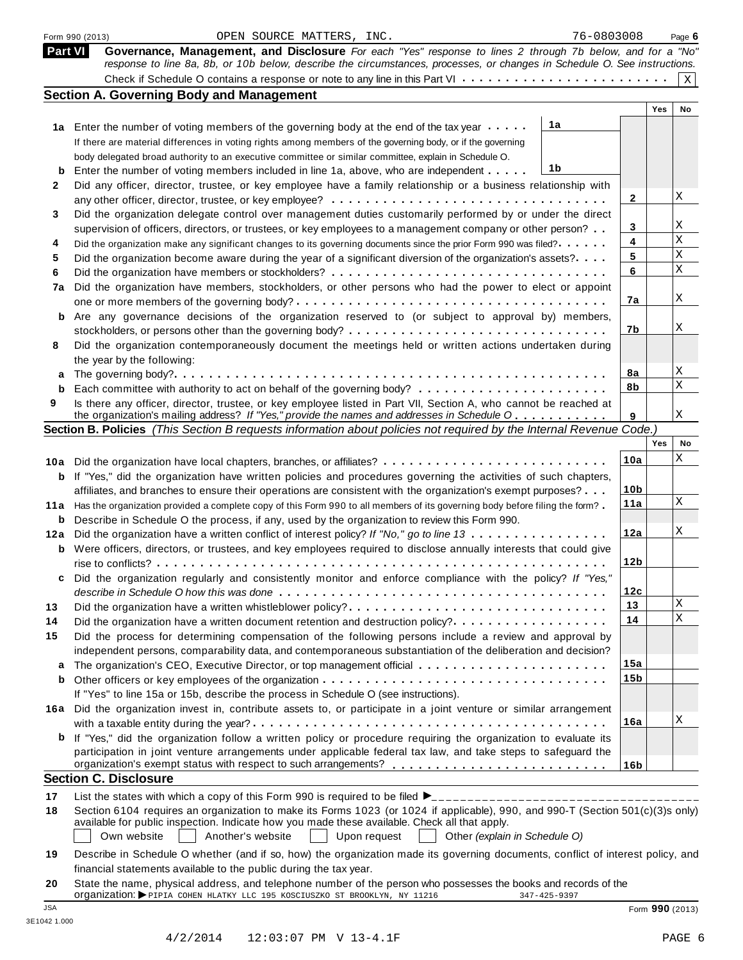|                | 76-0803008<br>OPEN SOURCE MATTERS, INC.<br>Form 990 (2013)                                                                                                                                                                                                                                                           |                 |     | Page 6       |
|----------------|----------------------------------------------------------------------------------------------------------------------------------------------------------------------------------------------------------------------------------------------------------------------------------------------------------------------|-----------------|-----|--------------|
| <b>Part VI</b> | Governance, Management, and Disclosure For each "Yes" response to lines 2 through 7b below, and for a "No"                                                                                                                                                                                                           |                 |     |              |
|                | response to line 8a, 8b, or 10b below, describe the circumstances, processes, or changes in Schedule O. See instructions.                                                                                                                                                                                            |                 |     |              |
|                |                                                                                                                                                                                                                                                                                                                      |                 |     | $\mathbf{X}$ |
|                | <b>Section A. Governing Body and Management</b>                                                                                                                                                                                                                                                                      |                 |     |              |
|                |                                                                                                                                                                                                                                                                                                                      |                 | Yes | No           |
|                | 1a<br>1a Enter the number of voting members of the governing body at the end of the tax year                                                                                                                                                                                                                         |                 |     |              |
|                | If there are material differences in voting rights among members of the governing body, or if the governing                                                                                                                                                                                                          |                 |     |              |
|                | body delegated broad authority to an executive committee or similar committee, explain in Schedule O.                                                                                                                                                                                                                |                 |     |              |
| b              | 1b<br>Enter the number of voting members included in line 1a, above, who are independent                                                                                                                                                                                                                             |                 |     |              |
| 2              | Did any officer, director, trustee, or key employee have a family relationship or a business relationship with                                                                                                                                                                                                       |                 |     |              |
|                |                                                                                                                                                                                                                                                                                                                      | 2               |     | Χ            |
| 3              | Did the organization delegate control over management duties customarily performed by or under the direct                                                                                                                                                                                                            |                 |     |              |
|                | supervision of officers, directors, or trustees, or key employees to a management company or other person?                                                                                                                                                                                                           | 3               |     | Χ<br>$\rm X$ |
| 4              | Did the organization make any significant changes to its governing documents since the prior Form 990 was filed?                                                                                                                                                                                                     | 4               |     | $\mathbf X$  |
| 5              | Did the organization become aware during the year of a significant diversion of the organization's assets?                                                                                                                                                                                                           | 5               |     | $\mathbf X$  |
| 6              |                                                                                                                                                                                                                                                                                                                      | 6               |     |              |
| 7a             | Did the organization have members, stockholders, or other persons who had the power to elect or appoint                                                                                                                                                                                                              |                 |     | Χ            |
|                |                                                                                                                                                                                                                                                                                                                      | 7a              |     |              |
| b              | Are any governance decisions of the organization reserved to (or subject to approval by) members,                                                                                                                                                                                                                    |                 |     | Χ            |
|                |                                                                                                                                                                                                                                                                                                                      | 7b              |     |              |
| 8              | Did the organization contemporaneously document the meetings held or written actions undertaken during                                                                                                                                                                                                               |                 |     |              |
|                | the year by the following:                                                                                                                                                                                                                                                                                           | 8a              |     | Χ            |
| a<br>b         |                                                                                                                                                                                                                                                                                                                      | 8b              |     | $\mathbf X$  |
| 9              | Is there any officer, director, trustee, or key employee listed in Part VII, Section A, who cannot be reached at                                                                                                                                                                                                     |                 |     |              |
|                | the organization's mailing address? If "Yes," provide the names and addresses in Schedule O                                                                                                                                                                                                                          | 9               |     | Χ            |
|                | Section B. Policies (This Section B requests information about policies not required by the Internal Revenue Code.)                                                                                                                                                                                                  |                 |     |              |
|                |                                                                                                                                                                                                                                                                                                                      |                 | Yes | No           |
|                | 10a Did the organization have local chapters, branches, or affiliates?                                                                                                                                                                                                                                               | 10a             |     | Χ            |
| b              | If "Yes," did the organization have written policies and procedures governing the activities of such chapters,                                                                                                                                                                                                       |                 |     |              |
|                | affiliates, and branches to ensure their operations are consistent with the organization's exempt purposes?                                                                                                                                                                                                          | 10 <sub>b</sub> |     |              |
|                | 11a Has the organization provided a complete copy of this Form 990 to all members of its governing body before filing the form?                                                                                                                                                                                      | 11a             |     | Χ            |
| b              | Describe in Schedule O the process, if any, used by the organization to review this Form 990.                                                                                                                                                                                                                        |                 |     |              |
| 12a            | Did the organization have a written conflict of interest policy? If "No," go to line 13                                                                                                                                                                                                                              | 12a             |     | Χ            |
| b              | Were officers, directors, or trustees, and key employees required to disclose annually interests that could give                                                                                                                                                                                                     |                 |     |              |
|                |                                                                                                                                                                                                                                                                                                                      | 12 <sub>b</sub> |     |              |
| c              | Did the organization regularly and consistently monitor and enforce compliance with the policy? If "Yes,"                                                                                                                                                                                                            |                 |     |              |
|                |                                                                                                                                                                                                                                                                                                                      | 12c             |     |              |
| 13             | Did the organization have a written whistleblower policy?                                                                                                                                                                                                                                                            | 13              |     | Χ            |
| 14             | Did the organization have a written document retention and destruction policy?                                                                                                                                                                                                                                       | 14              |     | $\mathbf X$  |
| 15             | Did the process for determining compensation of the following persons include a review and approval by                                                                                                                                                                                                               |                 |     |              |
|                | independent persons, comparability data, and contemporaneous substantiation of the deliberation and decision?                                                                                                                                                                                                        |                 |     |              |
| a              |                                                                                                                                                                                                                                                                                                                      | 15a             |     |              |
| b              |                                                                                                                                                                                                                                                                                                                      | 15 <sub>b</sub> |     |              |
|                | If "Yes" to line 15a or 15b, describe the process in Schedule O (see instructions).                                                                                                                                                                                                                                  |                 |     |              |
| 16a            | Did the organization invest in, contribute assets to, or participate in a joint venture or similar arrangement                                                                                                                                                                                                       |                 |     |              |
|                |                                                                                                                                                                                                                                                                                                                      | 16a             |     | Χ            |
| b              | If "Yes," did the organization follow a written policy or procedure requiring the organization to evaluate its                                                                                                                                                                                                       |                 |     |              |
|                | participation in joint venture arrangements under applicable federal tax law, and take steps to safeguard the                                                                                                                                                                                                        |                 |     |              |
|                | <b>Section C. Disclosure</b>                                                                                                                                                                                                                                                                                         | 16 <sub>b</sub> |     |              |
|                |                                                                                                                                                                                                                                                                                                                      |                 |     |              |
| 17             |                                                                                                                                                                                                                                                                                                                      |                 |     |              |
| 18             | Section 6104 requires an organization to make its Forms 1023 (or 1024 if applicable), 990, and 990-T (Section 501(c)(3)s only)<br>available for public inspection. Indicate how you made these available. Check all that apply.<br>Another's website<br>Own website<br>Upon request<br>Other (explain in Schedule O) |                 |     |              |
| 19             | Describe in Schedule O whether (and if so, how) the organization made its governing documents, conflict of interest policy, and<br>financial statements available to the public during the tax year.                                                                                                                 |                 |     |              |
| 20             | State the name, physical address, and telephone number of the person who possesses the books and records of the<br>Organization: >PIPIA COHEN HLATKY LLC 195 KOSCIUSZKO ST BROOKLYN, NY 11216<br>347-425-9397                                                                                                        |                 |     |              |
|                |                                                                                                                                                                                                                                                                                                                      |                 |     |              |

JSA Form **990** (2013)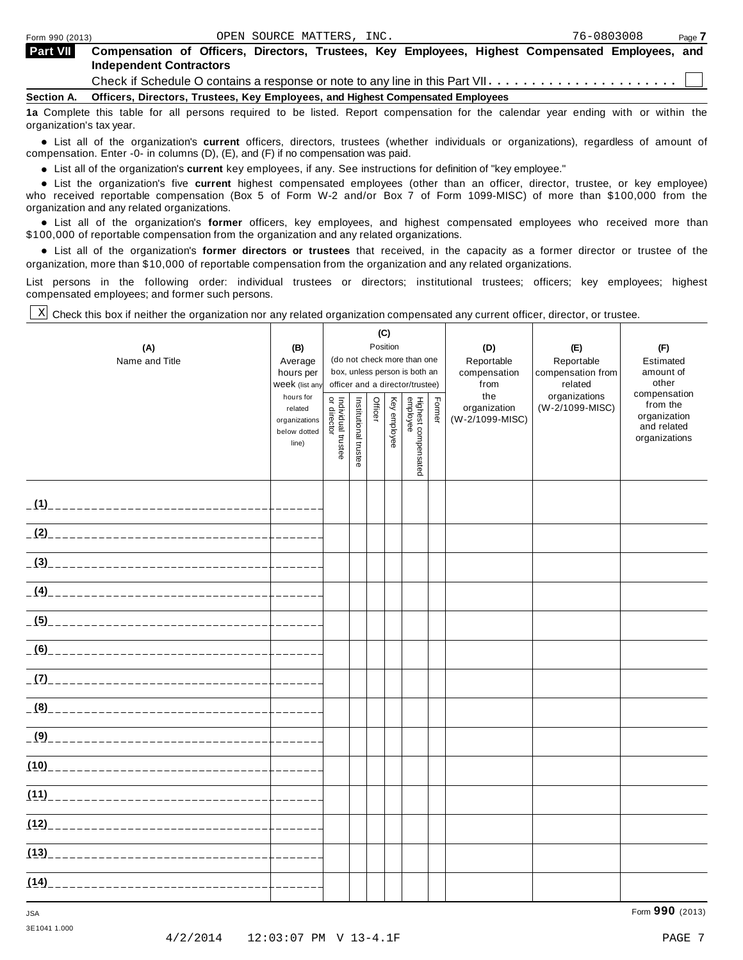| <b>Part VII</b> | Compensation of Officers, Directors, Trustees, Key Employees, Highest Compensated Employees, and<br><b>Independent Contractors</b> |
|-----------------|------------------------------------------------------------------------------------------------------------------------------------|
|                 | Check if Schedule O contains a response or note to any line in this Part VII $\dots\dots\dots\dots\dots\dots\dots\dots\dots$       |
| Section A.      | Officers, Directors, Trustees, Key Employees, and Highest Compensated Employees                                                    |

**1a** Complete this table for all persons required to be listed. Report compensation for the calendar year ending with or within the organization's tax year.

anization's lax year.<br>● List all of the organization's **current** officers, directors, trustees (whether individuals or organizations), regardless of amount of<br>nnensation Enter -0- in columns (D) (E) and (E) if no compensa compensation. Enter -0- in columns (D), (E), and (F) if no compensation was paid.

• List all of the organization's **current** key employees, if any. See instructions for definition of "key employee."<br>● List the experientials five expect highest expressed explores (other than an efficer director of

**Example in the organization's current** key employees, if any. See instructions for definition of key employee.<br>• List the organization's five **current** highest compensated employees (other than an officer, director, trust who received reportable compensation (Box 5 of Form W-2 and/or Box 7 of Form 1099-MISC) of more than \$100,000 from the

organization and any related organizations.<br>• List all of the organization's **former** officers, key employees, and highest compensated employees who received more than<br>\$1.00.000 of reportable componention from the erganiza \$100,000 of reportable compensation from the organization and any related organizations.

% List all of the organization's **former directors or trustees** that received, in the capacity as a former director or trustee of the organization, more than \$10,000 of reportable compensation from the organization and any related organizations.

List persons in the following order: individual trustees or directors; institutional trustees; officers; key employees; highest compensated employees; and former such persons.

Check this box if neither the organization nor any related organization compensated any current officer, director, or trustee. X

|                                  |                             | (C)                               |                       |         |              |                                 |        |                 |                          |                             |
|----------------------------------|-----------------------------|-----------------------------------|-----------------------|---------|--------------|---------------------------------|--------|-----------------|--------------------------|-----------------------------|
| (A)                              | (B)                         | Position                          |                       |         |              |                                 |        | (D)             | (E)                      | (F)                         |
| Name and Title                   | Average                     |                                   |                       |         |              | (do not check more than one     |        | Reportable      | Reportable               | Estimated                   |
|                                  | hours per                   |                                   |                       |         |              | box, unless person is both an   |        | compensation    | compensation from        | amount of<br>other          |
|                                  | Week (list any<br>hours for |                                   |                       |         |              | officer and a director/trustee) |        | from<br>the     | related<br>organizations | compensation                |
|                                  | related                     |                                   |                       | Officer | Key employee |                                 | Former | organization    | (W-2/1099-MISC)          | from the                    |
|                                  | organizations               |                                   |                       |         |              |                                 |        | (W-2/1099-MISC) |                          | organization<br>and related |
|                                  | below dotted                |                                   |                       |         |              |                                 |        |                 |                          | organizations               |
|                                  | line)                       | Individual trustee<br>or director | Institutional trustee |         |              |                                 |        |                 |                          |                             |
|                                  |                             |                                   |                       |         |              | Highest compensated<br>employee |        |                 |                          |                             |
|                                  |                             |                                   |                       |         |              |                                 |        |                 |                          |                             |
|                                  |                             |                                   |                       |         |              |                                 |        |                 |                          |                             |
|                                  |                             |                                   |                       |         |              |                                 |        |                 |                          |                             |
|                                  |                             |                                   |                       |         |              |                                 |        |                 |                          |                             |
|                                  |                             |                                   |                       |         |              |                                 |        |                 |                          |                             |
|                                  |                             |                                   |                       |         |              |                                 |        |                 |                          |                             |
|                                  |                             |                                   |                       |         |              |                                 |        |                 |                          |                             |
|                                  |                             |                                   |                       |         |              |                                 |        |                 |                          |                             |
|                                  |                             |                                   |                       |         |              |                                 |        |                 |                          |                             |
|                                  |                             |                                   |                       |         |              |                                 |        |                 |                          |                             |
|                                  |                             |                                   |                       |         |              |                                 |        |                 |                          |                             |
|                                  | بالمسامس                    |                                   |                       |         |              |                                 |        |                 |                          |                             |
|                                  |                             |                                   |                       |         |              |                                 |        |                 |                          |                             |
|                                  |                             |                                   |                       |         |              |                                 |        |                 |                          |                             |
|                                  |                             |                                   |                       |         |              |                                 |        |                 |                          |                             |
|                                  |                             |                                   |                       |         |              |                                 |        |                 |                          |                             |
|                                  |                             |                                   |                       |         |              |                                 |        |                 |                          |                             |
|                                  |                             |                                   |                       |         |              |                                 |        |                 |                          |                             |
|                                  |                             |                                   |                       |         |              |                                 |        |                 |                          |                             |
| (10)____________________________ |                             |                                   |                       |         |              |                                 |        |                 |                          |                             |
|                                  |                             |                                   |                       |         |              |                                 |        |                 |                          |                             |
|                                  | كالمالي كالمسابق            |                                   |                       |         |              |                                 |        |                 |                          |                             |
|                                  | كالمستمسات                  |                                   |                       |         |              |                                 |        |                 |                          |                             |
|                                  |                             |                                   |                       |         |              |                                 |        |                 |                          |                             |
|                                  |                             |                                   |                       |         |              |                                 |        |                 |                          |                             |
|                                  |                             |                                   |                       |         |              |                                 |        |                 |                          |                             |
|                                  |                             |                                   |                       |         |              |                                 |        |                 |                          |                             |
|                                  |                             |                                   |                       |         |              |                                 |        |                 |                          |                             |

3E1041 1.000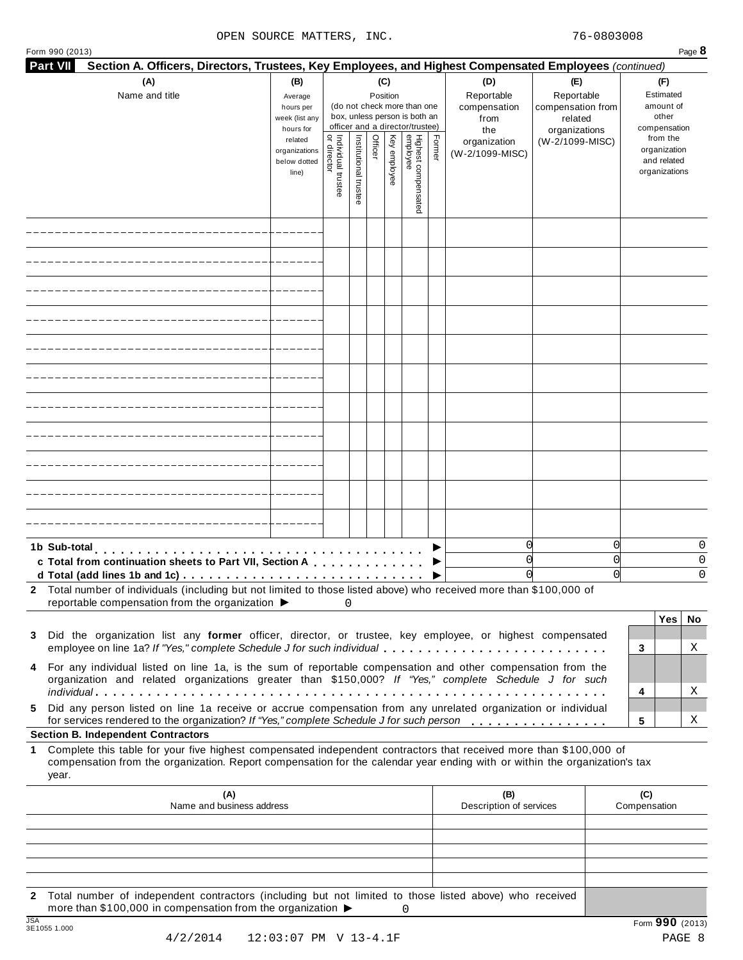|                  | Form 990 (2013)                                                                                                                                                                                                                                                                                        |                                                            |                                   |                                                                                                                    |         |              |                                 |        |                                                  |                                                                    | Page 8                                                   |
|------------------|--------------------------------------------------------------------------------------------------------------------------------------------------------------------------------------------------------------------------------------------------------------------------------------------------------|------------------------------------------------------------|-----------------------------------|--------------------------------------------------------------------------------------------------------------------|---------|--------------|---------------------------------|--------|--------------------------------------------------|--------------------------------------------------------------------|----------------------------------------------------------|
| <b>Part VII</b>  | Section A. Officers, Directors, Trustees, Key Employees, and Highest Compensated Employees (continued)                                                                                                                                                                                                 |                                                            |                                   |                                                                                                                    |         |              |                                 |        |                                                  |                                                                    |                                                          |
|                  | (A)<br>Name and title                                                                                                                                                                                                                                                                                  | (B)<br>Average<br>hours per<br>week (list any<br>hours for |                                   | (C)<br>Position<br>(do not check more than one<br>box, unless person is both an<br>officer and a director/trustee) |         |              |                                 |        | (D)<br>Reportable<br>compensation<br>from<br>the | (E)<br>Reportable<br>compensation from<br>related<br>organizations | (F)<br>Estimated<br>amount of<br>other<br>compensation   |
|                  |                                                                                                                                                                                                                                                                                                        | related<br>organizations<br>below dotted<br>line)          | Individual trustee<br>or director | Institutional trustee                                                                                              | Officer | Key employee | Highest compensated<br>employee | Former | organization<br>(W-2/1099-MISC)                  | (W-2/1099-MISC)                                                    | from the<br>organization<br>and related<br>organizations |
|                  |                                                                                                                                                                                                                                                                                                        |                                                            |                                   |                                                                                                                    |         |              |                                 |        |                                                  |                                                                    |                                                          |
|                  |                                                                                                                                                                                                                                                                                                        |                                                            |                                   |                                                                                                                    |         |              |                                 |        |                                                  |                                                                    |                                                          |
|                  |                                                                                                                                                                                                                                                                                                        |                                                            |                                   |                                                                                                                    |         |              |                                 |        |                                                  |                                                                    |                                                          |
|                  |                                                                                                                                                                                                                                                                                                        |                                                            |                                   |                                                                                                                    |         |              |                                 |        |                                                  |                                                                    |                                                          |
|                  |                                                                                                                                                                                                                                                                                                        |                                                            |                                   |                                                                                                                    |         |              |                                 |        |                                                  |                                                                    |                                                          |
|                  |                                                                                                                                                                                                                                                                                                        |                                                            |                                   |                                                                                                                    |         |              |                                 |        |                                                  |                                                                    |                                                          |
|                  |                                                                                                                                                                                                                                                                                                        |                                                            |                                   |                                                                                                                    |         |              |                                 |        |                                                  |                                                                    |                                                          |
|                  |                                                                                                                                                                                                                                                                                                        |                                                            |                                   |                                                                                                                    |         |              |                                 |        |                                                  |                                                                    |                                                          |
|                  |                                                                                                                                                                                                                                                                                                        |                                                            |                                   |                                                                                                                    |         |              |                                 |        |                                                  |                                                                    |                                                          |
|                  |                                                                                                                                                                                                                                                                                                        |                                                            |                                   |                                                                                                                    |         |              |                                 |        |                                                  |                                                                    |                                                          |
|                  |                                                                                                                                                                                                                                                                                                        |                                                            |                                   |                                                                                                                    |         |              |                                 |        |                                                  |                                                                    |                                                          |
|                  | 1b Sub-total<br>c Total from continuation sheets to Part VII, Section A<br>d Total (add lines 1b and 1c) $\ldots \ldots \ldots \ldots \ldots \ldots \ldots \ldots \ldots \ldots \ldots$                                                                                                                |                                                            |                                   |                                                                                                                    |         |              |                                 |        | 0<br>O                                           |                                                                    | 0<br>0<br>0<br>0<br>$\Omega$<br>0                        |
|                  | 2 Total number of individuals (including but not limited to those listed above) who received more than \$100,000 of<br>reportable compensation from the organization $\blacktriangleright$                                                                                                             |                                                            |                                   | 0                                                                                                                  |         |              |                                 |        |                                                  |                                                                    |                                                          |
|                  | 3 Did the organization list any former officer, director, or trustee, key employee, or highest compensated<br>employee on line 1a? If "Yes," complete Schedule J for such individual                                                                                                                   |                                                            |                                   |                                                                                                                    |         |              |                                 |        |                                                  |                                                                    | Yes  <br>No<br>Χ<br>3                                    |
|                  | 4 For any individual listed on line 1a, is the sum of reportable compensation and other compensation from the<br>organization and related organizations greater than \$150,000? If "Yes," complete Schedule J for such                                                                                 |                                                            |                                   |                                                                                                                    |         |              |                                 |        |                                                  |                                                                    | Χ<br>4                                                   |
| 5.               | Did any person listed on line 1a receive or accrue compensation from any unrelated organization or individual<br>for services rendered to the organization? If "Yes," complete Schedule J for such person                                                                                              |                                                            |                                   |                                                                                                                    |         |              |                                 |        |                                                  |                                                                    | 5<br>Χ                                                   |
| 1.               | <b>Section B. Independent Contractors</b><br>Complete this table for your five highest compensated independent contractors that received more than \$100,000 of<br>compensation from the organization. Report compensation for the calendar year ending with or within the organization's tax<br>year. |                                                            |                                   |                                                                                                                    |         |              |                                 |        |                                                  |                                                                    |                                                          |
|                  | (A)<br>Name and business address                                                                                                                                                                                                                                                                       |                                                            |                                   |                                                                                                                    |         |              |                                 |        | (B)<br>Description of services                   |                                                                    | (C)<br>Compensation                                      |
|                  |                                                                                                                                                                                                                                                                                                        |                                                            |                                   |                                                                                                                    |         |              |                                 |        |                                                  |                                                                    |                                                          |
|                  |                                                                                                                                                                                                                                                                                                        |                                                            |                                   |                                                                                                                    |         |              |                                 |        |                                                  |                                                                    |                                                          |
| $\mathbf{2}$     | Total number of independent contractors (including but not limited to those listed above) who received                                                                                                                                                                                                 |                                                            |                                   |                                                                                                                    |         |              |                                 |        |                                                  |                                                                    |                                                          |
| $\overline{10A}$ | more than \$100,000 in compensation from the organization ▶                                                                                                                                                                                                                                            |                                                            |                                   |                                                                                                                    |         |              | 0                               |        |                                                  |                                                                    |                                                          |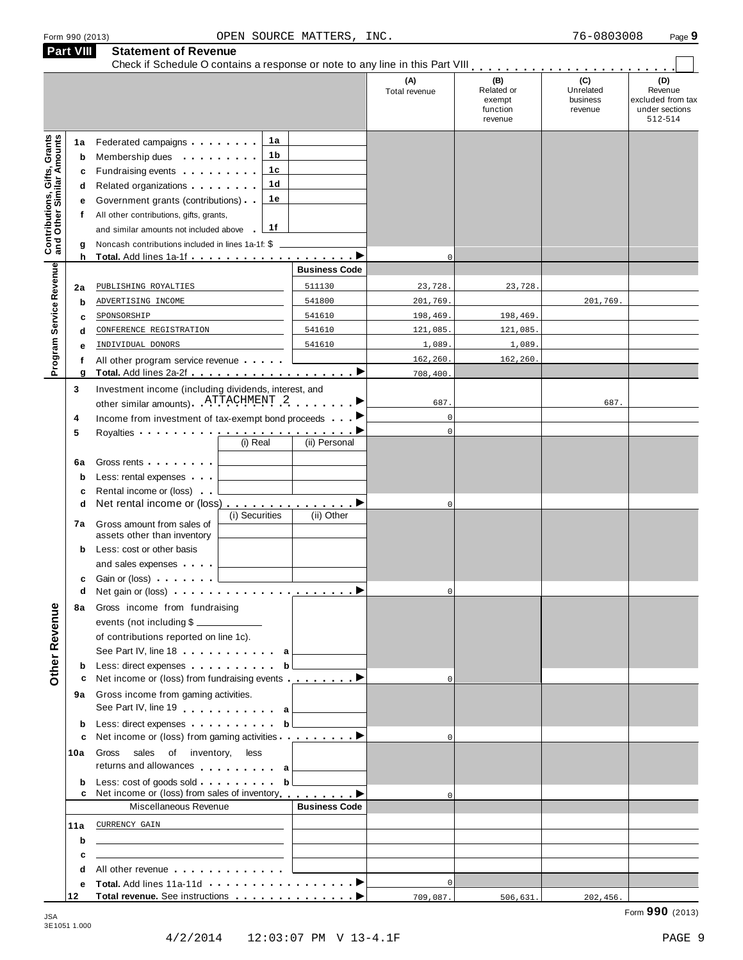|                                                                  | Part VIII                        | <b>Statement of Revenue</b>                                                                                                                                                                                                                                                                                                                                                                                                                                                                                                                                                                                 |                            |                                 |                                                    |                                         |                                                                  |
|------------------------------------------------------------------|----------------------------------|-------------------------------------------------------------------------------------------------------------------------------------------------------------------------------------------------------------------------------------------------------------------------------------------------------------------------------------------------------------------------------------------------------------------------------------------------------------------------------------------------------------------------------------------------------------------------------------------------------------|----------------------------|---------------------------------|----------------------------------------------------|-----------------------------------------|------------------------------------------------------------------|
|                                                                  |                                  |                                                                                                                                                                                                                                                                                                                                                                                                                                                                                                                                                                                                             |                            | (A)<br>Total revenue            | (B)<br>Related or<br>exempt<br>function<br>revenue | (C)<br>Unrelated<br>business<br>revenue | (D)<br>Revenue<br>excluded from tax<br>under sections<br>512-514 |
| <b>Contributions, Gifts, Grants</b><br>and Other Similar Amounts | 1a<br>b<br>c<br>d<br>е<br>f<br>g | 1a<br>Federated campaigns <b>Federated</b><br>1 b<br>Membership dues <b>All Accords</b> Membership dues<br>1c<br>Fundraising events <b>Fundraising</b><br>1 <sub>d</sub><br>Related organizations <b>and the set of the set of the set of the set of the set of the set of the set of the set of the set of the set of the set of the set of the set of the set of the set of the set of the set of the set </b><br>1е<br>Government grants (contributions)<br>All other contributions, gifts, grants,<br>1f<br>and similar amounts not included above<br>Noncash contributions included in lines 1a-1f: \$ |                            |                                 |                                                    |                                         |                                                                  |
|                                                                  | h                                |                                                                                                                                                                                                                                                                                                                                                                                                                                                                                                                                                                                                             | <b>Business Code</b>       | $\mathbf 0$                     |                                                    |                                         |                                                                  |
| Program Service Revenue                                          | 2a<br>$\mathbf b$<br>c           | PUBLISHING ROYALTIES<br>ADVERTISING INCOME<br>SPONSORSHIP                                                                                                                                                                                                                                                                                                                                                                                                                                                                                                                                                   | 511130<br>541800<br>541610 | 23,728.<br>201,769.<br>198,469. | 23,728<br>198,469.                                 | 201,769.                                |                                                                  |
|                                                                  | d                                | CONFERENCE REGISTRATION                                                                                                                                                                                                                                                                                                                                                                                                                                                                                                                                                                                     | 541610                     | 121,085.                        | 121,085.                                           |                                         |                                                                  |
|                                                                  | е                                | INDIVIDUAL DONORS                                                                                                                                                                                                                                                                                                                                                                                                                                                                                                                                                                                           | 541610                     | 1,089                           | 1,089                                              |                                         |                                                                  |
|                                                                  | f<br>g                           | All other program service revenue                                                                                                                                                                                                                                                                                                                                                                                                                                                                                                                                                                           |                            | 162,260.<br>708,400.            | 162,260.                                           |                                         |                                                                  |
|                                                                  | 3<br>4                           | Investment income (including dividends, interest, and<br>other similar amounts) ATTACHMENT 2<br>Income from investment of tax-exempt bond proceeds                                                                                                                                                                                                                                                                                                                                                                                                                                                          |                            | 687.<br>$\mathbf{0}$            |                                                    | 687.                                    |                                                                  |
|                                                                  | 5                                | Royalties <b>Example 2</b> and the set of the set of the set of the set of the set of the set of the set of the set of the set of the set of the set of the set of the set of the set of the set of the set of the set of the set o<br>(i) Real                                                                                                                                                                                                                                                                                                                                                             | (ii) Personal              | $\mathbf{0}$                    |                                                    |                                         |                                                                  |
|                                                                  | 6a<br>b<br>c                     | Gross rents <b>Container and Container</b><br>Less: rental expenses<br>Rental income or (loss)                                                                                                                                                                                                                                                                                                                                                                                                                                                                                                              |                            |                                 |                                                    |                                         |                                                                  |
|                                                                  | d<br>7а                          | Net rental income or (loss) ▶<br>(i) Securities<br>Gross amount from sales of                                                                                                                                                                                                                                                                                                                                                                                                                                                                                                                               | (ii) Other                 | $\mathbf 0$                     |                                                    |                                         |                                                                  |
|                                                                  | b                                | assets other than inventory<br>Less: cost or other basis<br>and sales expenses                                                                                                                                                                                                                                                                                                                                                                                                                                                                                                                              |                            |                                 |                                                    |                                         |                                                                  |
|                                                                  | c<br>d                           | Gain or (loss)                                                                                                                                                                                                                                                                                                                                                                                                                                                                                                                                                                                              |                            | $\mathbf 0$                     |                                                    |                                         |                                                                  |
| Other Revenue                                                    | 8а                               | Gross income from fundraising<br>events (not including \$<br>of contributions reported on line 1c).<br>See Part IV, line 18 a                                                                                                                                                                                                                                                                                                                                                                                                                                                                               |                            |                                 |                                                    |                                         |                                                                  |
|                                                                  | b                                | Less: direct expenses b                                                                                                                                                                                                                                                                                                                                                                                                                                                                                                                                                                                     |                            |                                 |                                                    |                                         |                                                                  |
|                                                                  | с                                | Net income or (loss) from fundraising events <b></b> ▶<br>9a Gross income from gaming activities.<br>See Part IV, line 19 a                                                                                                                                                                                                                                                                                                                                                                                                                                                                                 |                            | $\Omega$                        |                                                    |                                         |                                                                  |
|                                                                  | b                                | Less: direct expenses b                                                                                                                                                                                                                                                                                                                                                                                                                                                                                                                                                                                     |                            |                                 |                                                    |                                         |                                                                  |
|                                                                  | c                                | Net income or (loss) from gaming activities <u></u>                                                                                                                                                                                                                                                                                                                                                                                                                                                                                                                                                         |                            | $\Omega$                        |                                                    |                                         |                                                                  |
|                                                                  | 10a                              | Gross sales of inventory, less<br>returns and allowances a                                                                                                                                                                                                                                                                                                                                                                                                                                                                                                                                                  | <u> 1999 - Jan Jawa</u>    |                                 |                                                    |                                         |                                                                  |
|                                                                  | b                                | Net income or (loss) from sales of inventory <b>example to all example to all example to all example to all example to all example to all example to all example to all example to all example to all example to all example to</b>                                                                                                                                                                                                                                                                                                                                                                         |                            | $\Omega$                        |                                                    |                                         |                                                                  |
|                                                                  |                                  | Miscellaneous Revenue                                                                                                                                                                                                                                                                                                                                                                                                                                                                                                                                                                                       | <b>Business Code</b>       |                                 |                                                    |                                         |                                                                  |
|                                                                  | 11a                              | CURRENCY GAIN<br><u> 1989 - John Stein, Amerikaansk politiker (</u>                                                                                                                                                                                                                                                                                                                                                                                                                                                                                                                                         |                            |                                 |                                                    |                                         |                                                                  |
|                                                                  | b                                | the control of the control of the control of the control of the control of the control of                                                                                                                                                                                                                                                                                                                                                                                                                                                                                                                   |                            |                                 |                                                    |                                         |                                                                  |
|                                                                  | c<br>d                           | <u> 1989 - Johann Stein, mars an deus Amerikaansk kommunister (</u><br>All other revenue entitled and the control of the control of the control of the control of the control of the control of the control of the control of the control of the control of the control of the control of the control                                                                                                                                                                                                                                                                                                       |                            |                                 |                                                    |                                         |                                                                  |
|                                                                  | е                                |                                                                                                                                                                                                                                                                                                                                                                                                                                                                                                                                                                                                             |                            | $\mathbf{0}$                    |                                                    |                                         |                                                                  |
|                                                                  | 12                               |                                                                                                                                                                                                                                                                                                                                                                                                                                                                                                                                                                                                             |                            | 709,087.                        | 506,631.                                           | 202,456.                                |                                                                  |

3E1051 1.000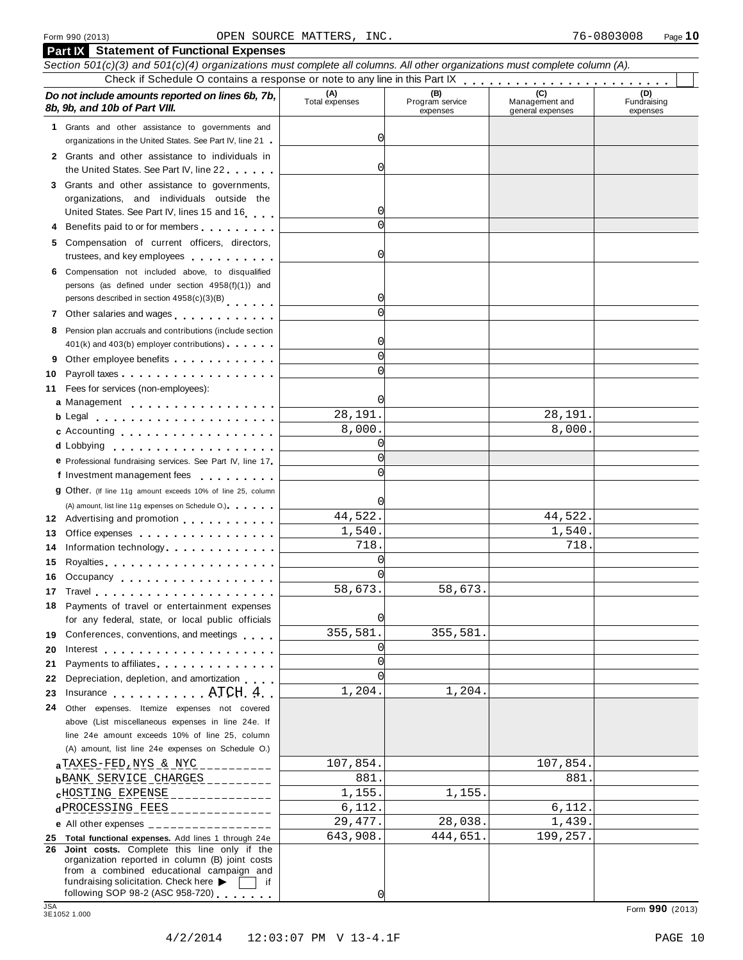|            | <b>Part IX</b> Statement of Functional Expenses                                                                            |                       |                                    |                                    |                                |
|------------|----------------------------------------------------------------------------------------------------------------------------|-----------------------|------------------------------------|------------------------------------|--------------------------------|
|            | Section 501(c)(3) and 501(c)(4) organizations must complete all columns. All other organizations must complete column (A). |                       |                                    |                                    |                                |
|            |                                                                                                                            |                       |                                    |                                    |                                |
|            | Do not include amounts reported on lines 6b, 7b,<br>8b, 9b, and 10b of Part VIII.                                          | (A)<br>Total expenses | (B)<br>Program service<br>expenses | Management and<br>general expenses | (D)<br>Fundraising<br>expenses |
|            | 1 Grants and other assistance to governments and                                                                           |                       |                                    |                                    |                                |
|            | organizations in the United States. See Part IV, line 21                                                                   | 0                     |                                    |                                    |                                |
|            | 2 Grants and other assistance to individuals in                                                                            |                       |                                    |                                    |                                |
|            | the United States. See Part IV, line 22                                                                                    | 0                     |                                    |                                    |                                |
|            | 3 Grants and other assistance to governments,                                                                              |                       |                                    |                                    |                                |
|            | organizations, and individuals outside the                                                                                 | 0                     |                                    |                                    |                                |
|            | United States. See Part IV, lines 15 and 16                                                                                | $\Omega$              |                                    |                                    |                                |
|            | 4 Benefits paid to or for members                                                                                          |                       |                                    |                                    |                                |
|            | 5 Compensation of current officers, directors,<br>trustees, and key employees                                              | 0                     |                                    |                                    |                                |
|            | 6 Compensation not included above, to disqualified                                                                         |                       |                                    |                                    |                                |
|            | persons (as defined under section 4958(f)(1)) and                                                                          |                       |                                    |                                    |                                |
|            | persons described in section 4958(c)(3)(B)                                                                                 | 0                     |                                    |                                    |                                |
|            | 7 Other salaries and wages                                                                                                 | $\Omega$              |                                    |                                    |                                |
|            | 8 Pension plan accruals and contributions (include section                                                                 |                       |                                    |                                    |                                |
|            | 401(k) and 403(b) employer contributions)                                                                                  | 0                     |                                    |                                    |                                |
|            | Other employee benefits                                                                                                    | $\Omega$              |                                    |                                    |                                |
| 10         |                                                                                                                            | $\Omega$              |                                    |                                    |                                |
| 11         | Fees for services (non-employees):                                                                                         |                       |                                    |                                    |                                |
|            | a Management                                                                                                               | 0l                    |                                    |                                    |                                |
|            |                                                                                                                            | 28,191.               |                                    | 28,191.                            |                                |
|            | <b>c</b> Accounting <b>c</b> Accounting                                                                                    | 8,000.                |                                    | 8,000.                             |                                |
|            | d Lobbying                                                                                                                 | 0                     |                                    |                                    |                                |
|            | e Professional fundraising services. See Part IV, line 17                                                                  | $\Omega$              |                                    |                                    |                                |
|            | f Investment management fees                                                                                               |                       |                                    |                                    |                                |
|            | 9 Other. (If line 11g amount exceeds 10% of line 25, column                                                                |                       |                                    |                                    |                                |
|            | (A) amount, list line 11g expenses on Schedule O.)                                                                         |                       |                                    |                                    |                                |
|            | 12 Advertising and promotion                                                                                               | 44,522.               |                                    | 44,522.                            |                                |
| 13         | Office expenses extensive and the set of the set of the set of the set of the set of the set of the set of the             | 1,540.<br>718.        |                                    | 1,540.<br>718.                     |                                |
| 14         | Information technology                                                                                                     | $\Omega$              |                                    |                                    |                                |
| 15         |                                                                                                                            | $\Omega$              |                                    |                                    |                                |
|            | 16 Occupancy                                                                                                               | 58,673.               | 58,673.                            |                                    |                                |
| 17         | Travel entering the series of the series of the series of the series of the series of the series of the series             |                       |                                    |                                    |                                |
|            | 18 Payments of travel or entertainment expenses<br>for any federal, state, or local public officials                       | O                     |                                    |                                    |                                |
|            | 19 Conferences, conventions, and meetings                                                                                  | 355,581.              | 355,581.                           |                                    |                                |
| 20         | Interest $\ldots$ , $\ldots$ , $\ldots$ , $\ldots$ , $\ldots$ , $\ldots$ , $\ldots$                                        | 0                     |                                    |                                    |                                |
| 21         | Payments to affiliates <b>Exercise 2.1 Fig. 1.1 Fig. 1.1</b>                                                               | $\Omega$              |                                    |                                    |                                |
| 22         | Depreciation, depletion, and amortization                                                                                  | $\cap$                |                                    |                                    |                                |
| 23         | Insurance ATCH 4                                                                                                           | 1,204.                | 1,204.                             |                                    |                                |
| 24         | Other expenses. Itemize expenses not covered                                                                               |                       |                                    |                                    |                                |
|            | above (List miscellaneous expenses in line 24e. If                                                                         |                       |                                    |                                    |                                |
|            | line 24e amount exceeds 10% of line 25, column                                                                             |                       |                                    |                                    |                                |
|            | (A) amount, list line 24e expenses on Schedule O.)                                                                         |                       |                                    |                                    |                                |
|            | $a$ TAXES-FED, NYS & NYC __________                                                                                        | 107,854.              |                                    | 107,854.                           |                                |
|            | $b$ BANK SERVICE CHARGES                                                                                                   | 881.                  |                                    | 881.                               |                                |
|            | $c$ HOSTING EXPENSE ______________                                                                                         | 1,155.                | 1,155.                             |                                    |                                |
|            | dPROCESSING FEES _______________                                                                                           | 6,112.                |                                    | 6,112.                             |                                |
|            | e All other expenses $\frac{1}{1}$                                                                                         | 29, 477.              | 28,038.                            | 1,439.                             |                                |
|            | 25 Total functional expenses. Add lines 1 through 24e<br>26 Joint costs. Complete this line only if the                    | 643,908.              | 444,651.                           | 199,257.                           |                                |
|            | organization reported in column (B) joint costs                                                                            |                       |                                    |                                    |                                |
|            | from a combined educational campaign and                                                                                   |                       |                                    |                                    |                                |
|            | fundraising solicitation. Check here $\blacktriangleright$<br>if.<br>following SOP 98-2 (ASC 958-720)                      | 0l                    |                                    |                                    |                                |
| <b>JSA</b> |                                                                                                                            |                       |                                    |                                    | Form 990 (2013)                |
|            | 3E1052 1.000                                                                                                               |                       |                                    |                                    |                                |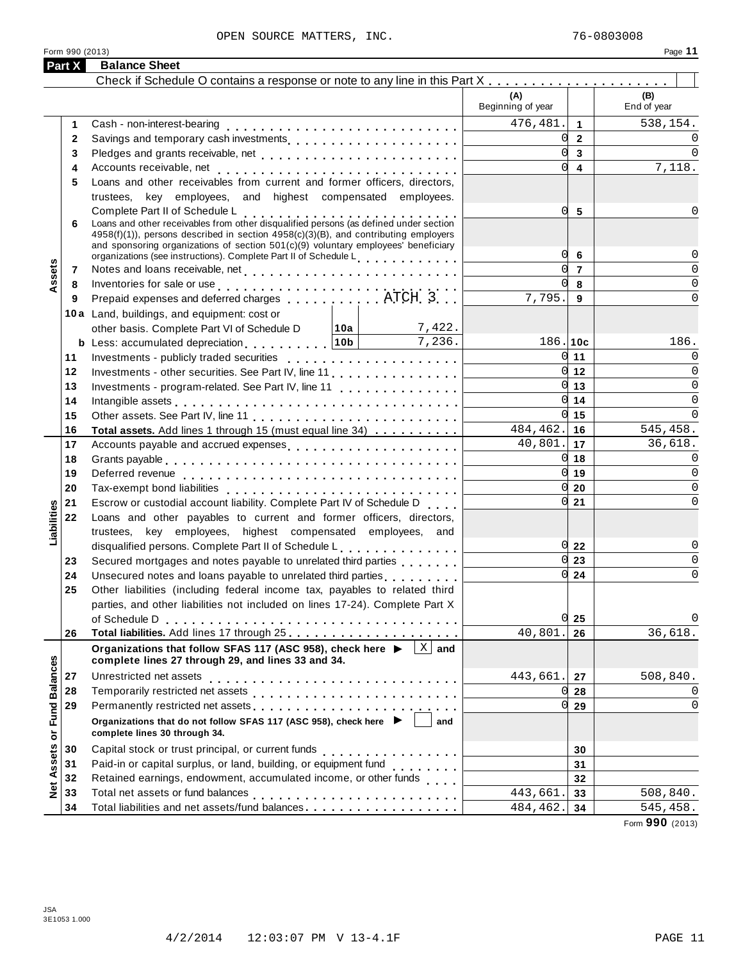| Check if Schedule O contains a response or note to any line in this Part X<br>(A)<br>(B)<br>Beginning of year<br>End of year<br>476,481.<br>$\overline{1}$<br>Cash - non-interest-bearing<br>1<br>$\Omega$<br>$\overline{2}$<br>2<br><sub>0</sub><br>$\overline{3}$<br>3<br><sub>0</sub><br>$\overline{4}$<br>4<br>Loans and other receivables from current and former officers, directors,<br>5<br>trustees, key employees, and highest compensated employees.<br>Complete Part II of Schedule L<br>0<br>5<br>Complete Part II of Schedule L<br>Loans and other receivables from other disqualified persons (as defined under section<br>6<br>4958(f)(1)), persons described in section 4958(c)(3)(B), and contributing employers<br>and sponsoring organizations of section $501(c)(9)$ voluntary employees' beneficiary<br>0<br>6<br>organizations (see instructions). Complete Part II of Schedule L<br>Assets<br>$\overline{7}$<br>7<br><sub>0</sub><br>8<br>Inventories for sale or use<br>Prepaid expenses and deferred charges<br>$\dots\dots\dots\dots\dots$ ATCH 3<br>8<br>7,795.<br>9<br>9<br>10a Land, buildings, and equipment: cost or<br>7,422.<br>other basis. Complete Part VI of Schedule D 10a<br>7,236.<br><b>b</b> Less: accumulated depreciation <b>contains the set of the set of 10b</b><br>186.10c<br>186.<br>$0 \mid 11$<br>11<br>$0 \vert 12 \vert$<br>12<br>Investments - other securities. See Part IV, line 11<br>$\overline{0}$ 13<br>13<br>Investments - program-related. See Part IV, line 11<br>$0 \mid 14$<br>14<br>Intangible assets $\ldots \ldots \ldots \ldots \ldots \ldots \ldots \ldots$<br>$0 \vert 15$<br>15<br>$484, 462.$ 16<br>545,458.<br>16<br>Total assets. Add lines 1 through 15 (must equal line 34)<br>$40,801.$ 17<br>36,618.<br>17<br>Accounts payable and accrued expenses<br>$0 \vert 18$<br>18<br>$0 \vert 19$<br>19<br>Deferred revenue enterprise and contact the contract of the contract of the Deferred results are set of the contract of the contract of the contract of the contract of the contract of the contract of the contract of the co<br>$01$ 20<br>20<br>$0\overline{21}$<br>Escrow or custodial account liability. Complete Part IV of Schedule D<br>21<br>Liabilities<br>22<br>Loans and other payables to current and former officers, directors,<br>trustees, key employees, highest compensated employees, and<br>$0\overline{22}$<br>disqualified persons. Complete Part II of Schedule L.<br>$0\vert 23$<br>Secured mortgages and notes payable to unrelated third parties<br>23<br>$0\overline{24}$<br>24<br>Unsecured notes and loans payable to unrelated third parties [1, 1, 1, 1, 1, 1]<br>Other liabilities (including federal income tax, payables to related third<br>25<br>parties, and other liabilities not included on lines 17-24). Complete Part X<br>$0\vert 25$<br>of Schedule D<br>40,801.<br>26<br>26<br>$ X $ and<br>Organizations that follow SFAS 117 (ASC 958), check here ▶<br><b>Fund Balances</b><br>complete lines 27 through 29, and lines 33 and 34.<br>Unrestricted net assets<br>443,661.<br>27<br>27<br>28<br>0l<br>28<br>29<br>0l<br>29<br>Organizations that do not follow SFAS 117 (ASC 958), check here ▶<br>and<br>ŏ<br>complete lines 30 through 34.<br>Assets<br>30<br>Capital stock or trust principal, or current funds<br>30<br>.<br>Paid-in or capital surplus, or land, building, or equipment fund<br>31<br>31<br>Retained earnings, endowment, accumulated income, or other funds<br>32<br>32<br>Net.<br>443,661<br>33<br>33<br>Total liabilities and net assets/fund balances<br>34<br>484,462.<br>34 | Part X | <b>Balance Sheet</b> |  |             |
|------------------------------------------------------------------------------------------------------------------------------------------------------------------------------------------------------------------------------------------------------------------------------------------------------------------------------------------------------------------------------------------------------------------------------------------------------------------------------------------------------------------------------------------------------------------------------------------------------------------------------------------------------------------------------------------------------------------------------------------------------------------------------------------------------------------------------------------------------------------------------------------------------------------------------------------------------------------------------------------------------------------------------------------------------------------------------------------------------------------------------------------------------------------------------------------------------------------------------------------------------------------------------------------------------------------------------------------------------------------------------------------------------------------------------------------------------------------------------------------------------------------------------------------------------------------------------------------------------------------------------------------------------------------------------------------------------------------------------------------------------------------------------------------------------------------------------------------------------------------------------------------------------------------------------------------------------------------------------------------------------------------------------------------------------------------------------------------------------------------------------------------------------------------------------------------------------------------------------------------------------------------------------------------------------------------------------------------------------------------------------------------------------------------------------------------------------------------------------------------------------------------------------------------------------------------------------------------------------------------------------------------------------------------------------------------------------------------------------------------------------------------------------------------------------------------------------------------------------------------------------------------------------------------------------------------------------------------------------------------------------------------------------------------------------------------------------------------------------------------------------------------------------------------------------------------------------------------------------------------------------------------------------------------------------------------------------------------------------------------------------------------------------------------------------------------------------------------------------------------------------------------------------------------------------------------------------------------------------------------------------------------|--------|----------------------|--|-------------|
|                                                                                                                                                                                                                                                                                                                                                                                                                                                                                                                                                                                                                                                                                                                                                                                                                                                                                                                                                                                                                                                                                                                                                                                                                                                                                                                                                                                                                                                                                                                                                                                                                                                                                                                                                                                                                                                                                                                                                                                                                                                                                                                                                                                                                                                                                                                                                                                                                                                                                                                                                                                                                                                                                                                                                                                                                                                                                                                                                                                                                                                                                                                                                                                                                                                                                                                                                                                                                                                                                                                                                                                                                                          |        |                      |  |             |
|                                                                                                                                                                                                                                                                                                                                                                                                                                                                                                                                                                                                                                                                                                                                                                                                                                                                                                                                                                                                                                                                                                                                                                                                                                                                                                                                                                                                                                                                                                                                                                                                                                                                                                                                                                                                                                                                                                                                                                                                                                                                                                                                                                                                                                                                                                                                                                                                                                                                                                                                                                                                                                                                                                                                                                                                                                                                                                                                                                                                                                                                                                                                                                                                                                                                                                                                                                                                                                                                                                                                                                                                                                          |        |                      |  |             |
|                                                                                                                                                                                                                                                                                                                                                                                                                                                                                                                                                                                                                                                                                                                                                                                                                                                                                                                                                                                                                                                                                                                                                                                                                                                                                                                                                                                                                                                                                                                                                                                                                                                                                                                                                                                                                                                                                                                                                                                                                                                                                                                                                                                                                                                                                                                                                                                                                                                                                                                                                                                                                                                                                                                                                                                                                                                                                                                                                                                                                                                                                                                                                                                                                                                                                                                                                                                                                                                                                                                                                                                                                                          |        |                      |  | 538,154.    |
|                                                                                                                                                                                                                                                                                                                                                                                                                                                                                                                                                                                                                                                                                                                                                                                                                                                                                                                                                                                                                                                                                                                                                                                                                                                                                                                                                                                                                                                                                                                                                                                                                                                                                                                                                                                                                                                                                                                                                                                                                                                                                                                                                                                                                                                                                                                                                                                                                                                                                                                                                                                                                                                                                                                                                                                                                                                                                                                                                                                                                                                                                                                                                                                                                                                                                                                                                                                                                                                                                                                                                                                                                                          |        |                      |  | 0           |
|                                                                                                                                                                                                                                                                                                                                                                                                                                                                                                                                                                                                                                                                                                                                                                                                                                                                                                                                                                                                                                                                                                                                                                                                                                                                                                                                                                                                                                                                                                                                                                                                                                                                                                                                                                                                                                                                                                                                                                                                                                                                                                                                                                                                                                                                                                                                                                                                                                                                                                                                                                                                                                                                                                                                                                                                                                                                                                                                                                                                                                                                                                                                                                                                                                                                                                                                                                                                                                                                                                                                                                                                                                          |        |                      |  | $\Omega$    |
|                                                                                                                                                                                                                                                                                                                                                                                                                                                                                                                                                                                                                                                                                                                                                                                                                                                                                                                                                                                                                                                                                                                                                                                                                                                                                                                                                                                                                                                                                                                                                                                                                                                                                                                                                                                                                                                                                                                                                                                                                                                                                                                                                                                                                                                                                                                                                                                                                                                                                                                                                                                                                                                                                                                                                                                                                                                                                                                                                                                                                                                                                                                                                                                                                                                                                                                                                                                                                                                                                                                                                                                                                                          |        |                      |  | 7,118.      |
|                                                                                                                                                                                                                                                                                                                                                                                                                                                                                                                                                                                                                                                                                                                                                                                                                                                                                                                                                                                                                                                                                                                                                                                                                                                                                                                                                                                                                                                                                                                                                                                                                                                                                                                                                                                                                                                                                                                                                                                                                                                                                                                                                                                                                                                                                                                                                                                                                                                                                                                                                                                                                                                                                                                                                                                                                                                                                                                                                                                                                                                                                                                                                                                                                                                                                                                                                                                                                                                                                                                                                                                                                                          |        |                      |  |             |
|                                                                                                                                                                                                                                                                                                                                                                                                                                                                                                                                                                                                                                                                                                                                                                                                                                                                                                                                                                                                                                                                                                                                                                                                                                                                                                                                                                                                                                                                                                                                                                                                                                                                                                                                                                                                                                                                                                                                                                                                                                                                                                                                                                                                                                                                                                                                                                                                                                                                                                                                                                                                                                                                                                                                                                                                                                                                                                                                                                                                                                                                                                                                                                                                                                                                                                                                                                                                                                                                                                                                                                                                                                          |        |                      |  |             |
|                                                                                                                                                                                                                                                                                                                                                                                                                                                                                                                                                                                                                                                                                                                                                                                                                                                                                                                                                                                                                                                                                                                                                                                                                                                                                                                                                                                                                                                                                                                                                                                                                                                                                                                                                                                                                                                                                                                                                                                                                                                                                                                                                                                                                                                                                                                                                                                                                                                                                                                                                                                                                                                                                                                                                                                                                                                                                                                                                                                                                                                                                                                                                                                                                                                                                                                                                                                                                                                                                                                                                                                                                                          |        |                      |  | 0           |
|                                                                                                                                                                                                                                                                                                                                                                                                                                                                                                                                                                                                                                                                                                                                                                                                                                                                                                                                                                                                                                                                                                                                                                                                                                                                                                                                                                                                                                                                                                                                                                                                                                                                                                                                                                                                                                                                                                                                                                                                                                                                                                                                                                                                                                                                                                                                                                                                                                                                                                                                                                                                                                                                                                                                                                                                                                                                                                                                                                                                                                                                                                                                                                                                                                                                                                                                                                                                                                                                                                                                                                                                                                          |        |                      |  | 0           |
|                                                                                                                                                                                                                                                                                                                                                                                                                                                                                                                                                                                                                                                                                                                                                                                                                                                                                                                                                                                                                                                                                                                                                                                                                                                                                                                                                                                                                                                                                                                                                                                                                                                                                                                                                                                                                                                                                                                                                                                                                                                                                                                                                                                                                                                                                                                                                                                                                                                                                                                                                                                                                                                                                                                                                                                                                                                                                                                                                                                                                                                                                                                                                                                                                                                                                                                                                                                                                                                                                                                                                                                                                                          |        |                      |  | $\Omega$    |
|                                                                                                                                                                                                                                                                                                                                                                                                                                                                                                                                                                                                                                                                                                                                                                                                                                                                                                                                                                                                                                                                                                                                                                                                                                                                                                                                                                                                                                                                                                                                                                                                                                                                                                                                                                                                                                                                                                                                                                                                                                                                                                                                                                                                                                                                                                                                                                                                                                                                                                                                                                                                                                                                                                                                                                                                                                                                                                                                                                                                                                                                                                                                                                                                                                                                                                                                                                                                                                                                                                                                                                                                                                          |        |                      |  | 0           |
|                                                                                                                                                                                                                                                                                                                                                                                                                                                                                                                                                                                                                                                                                                                                                                                                                                                                                                                                                                                                                                                                                                                                                                                                                                                                                                                                                                                                                                                                                                                                                                                                                                                                                                                                                                                                                                                                                                                                                                                                                                                                                                                                                                                                                                                                                                                                                                                                                                                                                                                                                                                                                                                                                                                                                                                                                                                                                                                                                                                                                                                                                                                                                                                                                                                                                                                                                                                                                                                                                                                                                                                                                                          |        |                      |  | $\Omega$    |
|                                                                                                                                                                                                                                                                                                                                                                                                                                                                                                                                                                                                                                                                                                                                                                                                                                                                                                                                                                                                                                                                                                                                                                                                                                                                                                                                                                                                                                                                                                                                                                                                                                                                                                                                                                                                                                                                                                                                                                                                                                                                                                                                                                                                                                                                                                                                                                                                                                                                                                                                                                                                                                                                                                                                                                                                                                                                                                                                                                                                                                                                                                                                                                                                                                                                                                                                                                                                                                                                                                                                                                                                                                          |        |                      |  |             |
|                                                                                                                                                                                                                                                                                                                                                                                                                                                                                                                                                                                                                                                                                                                                                                                                                                                                                                                                                                                                                                                                                                                                                                                                                                                                                                                                                                                                                                                                                                                                                                                                                                                                                                                                                                                                                                                                                                                                                                                                                                                                                                                                                                                                                                                                                                                                                                                                                                                                                                                                                                                                                                                                                                                                                                                                                                                                                                                                                                                                                                                                                                                                                                                                                                                                                                                                                                                                                                                                                                                                                                                                                                          |        |                      |  |             |
|                                                                                                                                                                                                                                                                                                                                                                                                                                                                                                                                                                                                                                                                                                                                                                                                                                                                                                                                                                                                                                                                                                                                                                                                                                                                                                                                                                                                                                                                                                                                                                                                                                                                                                                                                                                                                                                                                                                                                                                                                                                                                                                                                                                                                                                                                                                                                                                                                                                                                                                                                                                                                                                                                                                                                                                                                                                                                                                                                                                                                                                                                                                                                                                                                                                                                                                                                                                                                                                                                                                                                                                                                                          |        |                      |  | 0           |
|                                                                                                                                                                                                                                                                                                                                                                                                                                                                                                                                                                                                                                                                                                                                                                                                                                                                                                                                                                                                                                                                                                                                                                                                                                                                                                                                                                                                                                                                                                                                                                                                                                                                                                                                                                                                                                                                                                                                                                                                                                                                                                                                                                                                                                                                                                                                                                                                                                                                                                                                                                                                                                                                                                                                                                                                                                                                                                                                                                                                                                                                                                                                                                                                                                                                                                                                                                                                                                                                                                                                                                                                                                          |        |                      |  | $\Omega$    |
|                                                                                                                                                                                                                                                                                                                                                                                                                                                                                                                                                                                                                                                                                                                                                                                                                                                                                                                                                                                                                                                                                                                                                                                                                                                                                                                                                                                                                                                                                                                                                                                                                                                                                                                                                                                                                                                                                                                                                                                                                                                                                                                                                                                                                                                                                                                                                                                                                                                                                                                                                                                                                                                                                                                                                                                                                                                                                                                                                                                                                                                                                                                                                                                                                                                                                                                                                                                                                                                                                                                                                                                                                                          |        |                      |  | $\Omega$    |
|                                                                                                                                                                                                                                                                                                                                                                                                                                                                                                                                                                                                                                                                                                                                                                                                                                                                                                                                                                                                                                                                                                                                                                                                                                                                                                                                                                                                                                                                                                                                                                                                                                                                                                                                                                                                                                                                                                                                                                                                                                                                                                                                                                                                                                                                                                                                                                                                                                                                                                                                                                                                                                                                                                                                                                                                                                                                                                                                                                                                                                                                                                                                                                                                                                                                                                                                                                                                                                                                                                                                                                                                                                          |        |                      |  | $\mathbf 0$ |
|                                                                                                                                                                                                                                                                                                                                                                                                                                                                                                                                                                                                                                                                                                                                                                                                                                                                                                                                                                                                                                                                                                                                                                                                                                                                                                                                                                                                                                                                                                                                                                                                                                                                                                                                                                                                                                                                                                                                                                                                                                                                                                                                                                                                                                                                                                                                                                                                                                                                                                                                                                                                                                                                                                                                                                                                                                                                                                                                                                                                                                                                                                                                                                                                                                                                                                                                                                                                                                                                                                                                                                                                                                          |        |                      |  | $\Omega$    |
|                                                                                                                                                                                                                                                                                                                                                                                                                                                                                                                                                                                                                                                                                                                                                                                                                                                                                                                                                                                                                                                                                                                                                                                                                                                                                                                                                                                                                                                                                                                                                                                                                                                                                                                                                                                                                                                                                                                                                                                                                                                                                                                                                                                                                                                                                                                                                                                                                                                                                                                                                                                                                                                                                                                                                                                                                                                                                                                                                                                                                                                                                                                                                                                                                                                                                                                                                                                                                                                                                                                                                                                                                                          |        |                      |  |             |
|                                                                                                                                                                                                                                                                                                                                                                                                                                                                                                                                                                                                                                                                                                                                                                                                                                                                                                                                                                                                                                                                                                                                                                                                                                                                                                                                                                                                                                                                                                                                                                                                                                                                                                                                                                                                                                                                                                                                                                                                                                                                                                                                                                                                                                                                                                                                                                                                                                                                                                                                                                                                                                                                                                                                                                                                                                                                                                                                                                                                                                                                                                                                                                                                                                                                                                                                                                                                                                                                                                                                                                                                                                          |        |                      |  |             |
|                                                                                                                                                                                                                                                                                                                                                                                                                                                                                                                                                                                                                                                                                                                                                                                                                                                                                                                                                                                                                                                                                                                                                                                                                                                                                                                                                                                                                                                                                                                                                                                                                                                                                                                                                                                                                                                                                                                                                                                                                                                                                                                                                                                                                                                                                                                                                                                                                                                                                                                                                                                                                                                                                                                                                                                                                                                                                                                                                                                                                                                                                                                                                                                                                                                                                                                                                                                                                                                                                                                                                                                                                                          |        |                      |  | $\Omega$    |
|                                                                                                                                                                                                                                                                                                                                                                                                                                                                                                                                                                                                                                                                                                                                                                                                                                                                                                                                                                                                                                                                                                                                                                                                                                                                                                                                                                                                                                                                                                                                                                                                                                                                                                                                                                                                                                                                                                                                                                                                                                                                                                                                                                                                                                                                                                                                                                                                                                                                                                                                                                                                                                                                                                                                                                                                                                                                                                                                                                                                                                                                                                                                                                                                                                                                                                                                                                                                                                                                                                                                                                                                                                          |        |                      |  | $\Omega$    |
|                                                                                                                                                                                                                                                                                                                                                                                                                                                                                                                                                                                                                                                                                                                                                                                                                                                                                                                                                                                                                                                                                                                                                                                                                                                                                                                                                                                                                                                                                                                                                                                                                                                                                                                                                                                                                                                                                                                                                                                                                                                                                                                                                                                                                                                                                                                                                                                                                                                                                                                                                                                                                                                                                                                                                                                                                                                                                                                                                                                                                                                                                                                                                                                                                                                                                                                                                                                                                                                                                                                                                                                                                                          |        |                      |  | $\Omega$    |
|                                                                                                                                                                                                                                                                                                                                                                                                                                                                                                                                                                                                                                                                                                                                                                                                                                                                                                                                                                                                                                                                                                                                                                                                                                                                                                                                                                                                                                                                                                                                                                                                                                                                                                                                                                                                                                                                                                                                                                                                                                                                                                                                                                                                                                                                                                                                                                                                                                                                                                                                                                                                                                                                                                                                                                                                                                                                                                                                                                                                                                                                                                                                                                                                                                                                                                                                                                                                                                                                                                                                                                                                                                          |        |                      |  | $\Omega$    |
|                                                                                                                                                                                                                                                                                                                                                                                                                                                                                                                                                                                                                                                                                                                                                                                                                                                                                                                                                                                                                                                                                                                                                                                                                                                                                                                                                                                                                                                                                                                                                                                                                                                                                                                                                                                                                                                                                                                                                                                                                                                                                                                                                                                                                                                                                                                                                                                                                                                                                                                                                                                                                                                                                                                                                                                                                                                                                                                                                                                                                                                                                                                                                                                                                                                                                                                                                                                                                                                                                                                                                                                                                                          |        |                      |  |             |
|                                                                                                                                                                                                                                                                                                                                                                                                                                                                                                                                                                                                                                                                                                                                                                                                                                                                                                                                                                                                                                                                                                                                                                                                                                                                                                                                                                                                                                                                                                                                                                                                                                                                                                                                                                                                                                                                                                                                                                                                                                                                                                                                                                                                                                                                                                                                                                                                                                                                                                                                                                                                                                                                                                                                                                                                                                                                                                                                                                                                                                                                                                                                                                                                                                                                                                                                                                                                                                                                                                                                                                                                                                          |        |                      |  |             |
|                                                                                                                                                                                                                                                                                                                                                                                                                                                                                                                                                                                                                                                                                                                                                                                                                                                                                                                                                                                                                                                                                                                                                                                                                                                                                                                                                                                                                                                                                                                                                                                                                                                                                                                                                                                                                                                                                                                                                                                                                                                                                                                                                                                                                                                                                                                                                                                                                                                                                                                                                                                                                                                                                                                                                                                                                                                                                                                                                                                                                                                                                                                                                                                                                                                                                                                                                                                                                                                                                                                                                                                                                                          |        |                      |  | 0           |
|                                                                                                                                                                                                                                                                                                                                                                                                                                                                                                                                                                                                                                                                                                                                                                                                                                                                                                                                                                                                                                                                                                                                                                                                                                                                                                                                                                                                                                                                                                                                                                                                                                                                                                                                                                                                                                                                                                                                                                                                                                                                                                                                                                                                                                                                                                                                                                                                                                                                                                                                                                                                                                                                                                                                                                                                                                                                                                                                                                                                                                                                                                                                                                                                                                                                                                                                                                                                                                                                                                                                                                                                                                          |        |                      |  | $\Omega$    |
|                                                                                                                                                                                                                                                                                                                                                                                                                                                                                                                                                                                                                                                                                                                                                                                                                                                                                                                                                                                                                                                                                                                                                                                                                                                                                                                                                                                                                                                                                                                                                                                                                                                                                                                                                                                                                                                                                                                                                                                                                                                                                                                                                                                                                                                                                                                                                                                                                                                                                                                                                                                                                                                                                                                                                                                                                                                                                                                                                                                                                                                                                                                                                                                                                                                                                                                                                                                                                                                                                                                                                                                                                                          |        |                      |  | 0           |
|                                                                                                                                                                                                                                                                                                                                                                                                                                                                                                                                                                                                                                                                                                                                                                                                                                                                                                                                                                                                                                                                                                                                                                                                                                                                                                                                                                                                                                                                                                                                                                                                                                                                                                                                                                                                                                                                                                                                                                                                                                                                                                                                                                                                                                                                                                                                                                                                                                                                                                                                                                                                                                                                                                                                                                                                                                                                                                                                                                                                                                                                                                                                                                                                                                                                                                                                                                                                                                                                                                                                                                                                                                          |        |                      |  |             |
|                                                                                                                                                                                                                                                                                                                                                                                                                                                                                                                                                                                                                                                                                                                                                                                                                                                                                                                                                                                                                                                                                                                                                                                                                                                                                                                                                                                                                                                                                                                                                                                                                                                                                                                                                                                                                                                                                                                                                                                                                                                                                                                                                                                                                                                                                                                                                                                                                                                                                                                                                                                                                                                                                                                                                                                                                                                                                                                                                                                                                                                                                                                                                                                                                                                                                                                                                                                                                                                                                                                                                                                                                                          |        |                      |  |             |
|                                                                                                                                                                                                                                                                                                                                                                                                                                                                                                                                                                                                                                                                                                                                                                                                                                                                                                                                                                                                                                                                                                                                                                                                                                                                                                                                                                                                                                                                                                                                                                                                                                                                                                                                                                                                                                                                                                                                                                                                                                                                                                                                                                                                                                                                                                                                                                                                                                                                                                                                                                                                                                                                                                                                                                                                                                                                                                                                                                                                                                                                                                                                                                                                                                                                                                                                                                                                                                                                                                                                                                                                                                          |        |                      |  | 0           |
|                                                                                                                                                                                                                                                                                                                                                                                                                                                                                                                                                                                                                                                                                                                                                                                                                                                                                                                                                                                                                                                                                                                                                                                                                                                                                                                                                                                                                                                                                                                                                                                                                                                                                                                                                                                                                                                                                                                                                                                                                                                                                                                                                                                                                                                                                                                                                                                                                                                                                                                                                                                                                                                                                                                                                                                                                                                                                                                                                                                                                                                                                                                                                                                                                                                                                                                                                                                                                                                                                                                                                                                                                                          |        |                      |  | 36,618.     |
|                                                                                                                                                                                                                                                                                                                                                                                                                                                                                                                                                                                                                                                                                                                                                                                                                                                                                                                                                                                                                                                                                                                                                                                                                                                                                                                                                                                                                                                                                                                                                                                                                                                                                                                                                                                                                                                                                                                                                                                                                                                                                                                                                                                                                                                                                                                                                                                                                                                                                                                                                                                                                                                                                                                                                                                                                                                                                                                                                                                                                                                                                                                                                                                                                                                                                                                                                                                                                                                                                                                                                                                                                                          |        |                      |  |             |
|                                                                                                                                                                                                                                                                                                                                                                                                                                                                                                                                                                                                                                                                                                                                                                                                                                                                                                                                                                                                                                                                                                                                                                                                                                                                                                                                                                                                                                                                                                                                                                                                                                                                                                                                                                                                                                                                                                                                                                                                                                                                                                                                                                                                                                                                                                                                                                                                                                                                                                                                                                                                                                                                                                                                                                                                                                                                                                                                                                                                                                                                                                                                                                                                                                                                                                                                                                                                                                                                                                                                                                                                                                          |        |                      |  | 508,840.    |
|                                                                                                                                                                                                                                                                                                                                                                                                                                                                                                                                                                                                                                                                                                                                                                                                                                                                                                                                                                                                                                                                                                                                                                                                                                                                                                                                                                                                                                                                                                                                                                                                                                                                                                                                                                                                                                                                                                                                                                                                                                                                                                                                                                                                                                                                                                                                                                                                                                                                                                                                                                                                                                                                                                                                                                                                                                                                                                                                                                                                                                                                                                                                                                                                                                                                                                                                                                                                                                                                                                                                                                                                                                          |        |                      |  | $\Omega$    |
|                                                                                                                                                                                                                                                                                                                                                                                                                                                                                                                                                                                                                                                                                                                                                                                                                                                                                                                                                                                                                                                                                                                                                                                                                                                                                                                                                                                                                                                                                                                                                                                                                                                                                                                                                                                                                                                                                                                                                                                                                                                                                                                                                                                                                                                                                                                                                                                                                                                                                                                                                                                                                                                                                                                                                                                                                                                                                                                                                                                                                                                                                                                                                                                                                                                                                                                                                                                                                                                                                                                                                                                                                                          |        |                      |  | 0           |
|                                                                                                                                                                                                                                                                                                                                                                                                                                                                                                                                                                                                                                                                                                                                                                                                                                                                                                                                                                                                                                                                                                                                                                                                                                                                                                                                                                                                                                                                                                                                                                                                                                                                                                                                                                                                                                                                                                                                                                                                                                                                                                                                                                                                                                                                                                                                                                                                                                                                                                                                                                                                                                                                                                                                                                                                                                                                                                                                                                                                                                                                                                                                                                                                                                                                                                                                                                                                                                                                                                                                                                                                                                          |        |                      |  |             |
|                                                                                                                                                                                                                                                                                                                                                                                                                                                                                                                                                                                                                                                                                                                                                                                                                                                                                                                                                                                                                                                                                                                                                                                                                                                                                                                                                                                                                                                                                                                                                                                                                                                                                                                                                                                                                                                                                                                                                                                                                                                                                                                                                                                                                                                                                                                                                                                                                                                                                                                                                                                                                                                                                                                                                                                                                                                                                                                                                                                                                                                                                                                                                                                                                                                                                                                                                                                                                                                                                                                                                                                                                                          |        |                      |  |             |
|                                                                                                                                                                                                                                                                                                                                                                                                                                                                                                                                                                                                                                                                                                                                                                                                                                                                                                                                                                                                                                                                                                                                                                                                                                                                                                                                                                                                                                                                                                                                                                                                                                                                                                                                                                                                                                                                                                                                                                                                                                                                                                                                                                                                                                                                                                                                                                                                                                                                                                                                                                                                                                                                                                                                                                                                                                                                                                                                                                                                                                                                                                                                                                                                                                                                                                                                                                                                                                                                                                                                                                                                                                          |        |                      |  |             |
|                                                                                                                                                                                                                                                                                                                                                                                                                                                                                                                                                                                                                                                                                                                                                                                                                                                                                                                                                                                                                                                                                                                                                                                                                                                                                                                                                                                                                                                                                                                                                                                                                                                                                                                                                                                                                                                                                                                                                                                                                                                                                                                                                                                                                                                                                                                                                                                                                                                                                                                                                                                                                                                                                                                                                                                                                                                                                                                                                                                                                                                                                                                                                                                                                                                                                                                                                                                                                                                                                                                                                                                                                                          |        |                      |  |             |
|                                                                                                                                                                                                                                                                                                                                                                                                                                                                                                                                                                                                                                                                                                                                                                                                                                                                                                                                                                                                                                                                                                                                                                                                                                                                                                                                                                                                                                                                                                                                                                                                                                                                                                                                                                                                                                                                                                                                                                                                                                                                                                                                                                                                                                                                                                                                                                                                                                                                                                                                                                                                                                                                                                                                                                                                                                                                                                                                                                                                                                                                                                                                                                                                                                                                                                                                                                                                                                                                                                                                                                                                                                          |        |                      |  | 508,840.    |
|                                                                                                                                                                                                                                                                                                                                                                                                                                                                                                                                                                                                                                                                                                                                                                                                                                                                                                                                                                                                                                                                                                                                                                                                                                                                                                                                                                                                                                                                                                                                                                                                                                                                                                                                                                                                                                                                                                                                                                                                                                                                                                                                                                                                                                                                                                                                                                                                                                                                                                                                                                                                                                                                                                                                                                                                                                                                                                                                                                                                                                                                                                                                                                                                                                                                                                                                                                                                                                                                                                                                                                                                                                          |        |                      |  | 545,458.    |

Form **990** (2013)

Form 990 (2013)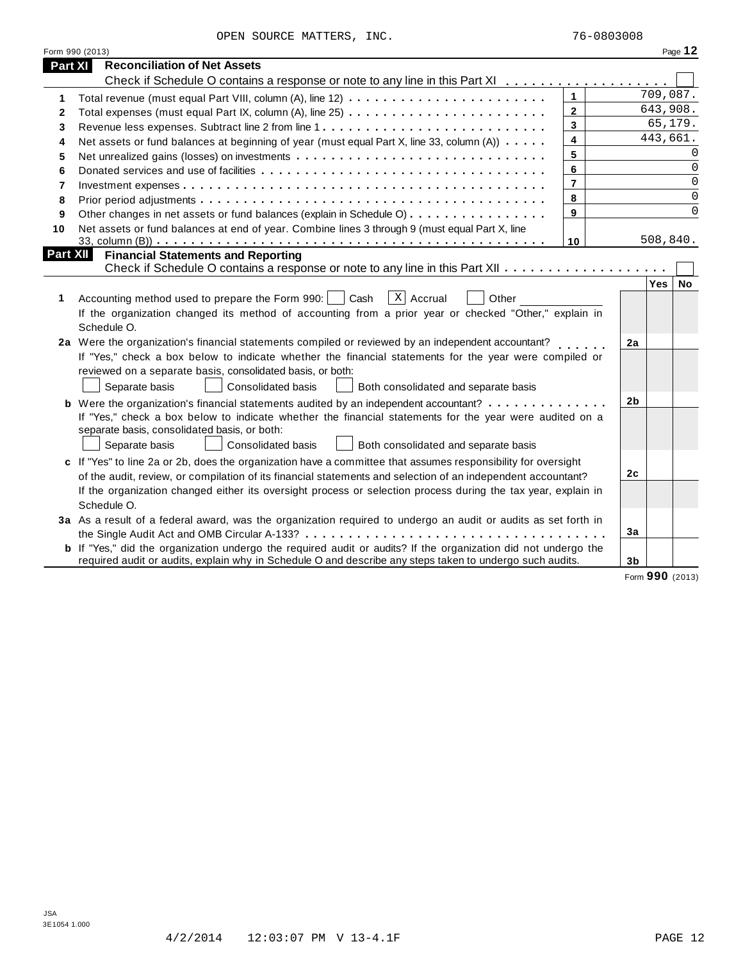|                | Form 990 (2013)                                                                                                                                                                                                                                                                                                                                                   |                         |                |                  | Page 12     |
|----------------|-------------------------------------------------------------------------------------------------------------------------------------------------------------------------------------------------------------------------------------------------------------------------------------------------------------------------------------------------------------------|-------------------------|----------------|------------------|-------------|
| <b>Part XI</b> | <b>Reconciliation of Net Assets</b>                                                                                                                                                                                                                                                                                                                               |                         |                |                  |             |
|                | Check if Schedule O contains a response or note to any line in this Part XI                                                                                                                                                                                                                                                                                       |                         |                |                  |             |
| 1              |                                                                                                                                                                                                                                                                                                                                                                   | $\mathbf{1}$            |                | 709,087.         |             |
| 2              |                                                                                                                                                                                                                                                                                                                                                                   | $\mathbf{2}$            |                | 643,908.         |             |
| 3              |                                                                                                                                                                                                                                                                                                                                                                   | $\overline{\mathbf{3}}$ |                | 65,179.          |             |
| 4              | Net assets or fund balances at beginning of year (must equal Part X, line 33, column (A))                                                                                                                                                                                                                                                                         | 4                       |                | 443,661.         |             |
| 5              |                                                                                                                                                                                                                                                                                                                                                                   | 5                       |                |                  | $\Omega$    |
| 6              |                                                                                                                                                                                                                                                                                                                                                                   | 6                       |                |                  | 0           |
| 7              |                                                                                                                                                                                                                                                                                                                                                                   | $\overline{7}$          |                |                  | $\mathbf 0$ |
| 8              |                                                                                                                                                                                                                                                                                                                                                                   | 8                       |                |                  | $\mathbf 0$ |
| 9              | Other changes in net assets or fund balances (explain in Schedule O)                                                                                                                                                                                                                                                                                              | 9                       |                |                  | $\Omega$    |
| 10             | Net assets or fund balances at end of year. Combine lines 3 through 9 (must equal Part X, line                                                                                                                                                                                                                                                                    |                         |                |                  |             |
|                |                                                                                                                                                                                                                                                                                                                                                                   | 10                      |                | 508,840.         |             |
| Part XII       | <b>Financial Statements and Reporting</b><br>Check if Schedule O contains a response or note to any line in this Part XII                                                                                                                                                                                                                                         |                         |                |                  |             |
| 1              | $X$ Accrual<br>Accounting method used to prepare the Form 990:     Cash<br>Other<br>If the organization changed its method of accounting from a prior year or checked "Other," explain in<br>Schedule O.                                                                                                                                                          |                         |                | Yes <sub>1</sub> | <b>No</b>   |
|                | 2a Were the organization's financial statements compiled or reviewed by an independent accountant?<br>If "Yes," check a box below to indicate whether the financial statements for the year were compiled or<br>reviewed on a separate basis, consolidated basis, or both:<br>Separate basis<br><b>Consolidated basis</b><br>Both consolidated and separate basis |                         | 2a             |                  |             |
|                | <b>b</b> Were the organization's financial statements audited by an independent accountant?<br>If "Yes," check a box below to indicate whether the financial statements for the year were audited on a<br>separate basis, consolidated basis, or both:<br>Separate basis<br>Consolidated basis<br>Both consolidated and separate basis                            |                         | 2 <sub>b</sub> |                  |             |
|                | c If "Yes" to line 2a or 2b, does the organization have a committee that assumes responsibility for oversight<br>of the audit, review, or compilation of its financial statements and selection of an independent accountant?<br>If the organization changed either its oversight process or selection process during the tax year, explain in<br>Schedule O.     |                         | 2c             |                  |             |
|                | 3a As a result of a federal award, was the organization required to undergo an audit or audits as set forth in                                                                                                                                                                                                                                                    |                         | 3a             |                  |             |
|                | <b>b</b> If "Yes," did the organization undergo the required audit or audits? If the organization did not undergo the<br>required audit or audits, explain why in Schedule O and describe any steps taken to undergo such audits.                                                                                                                                 |                         | 3b             |                  |             |

Form **990** (2013)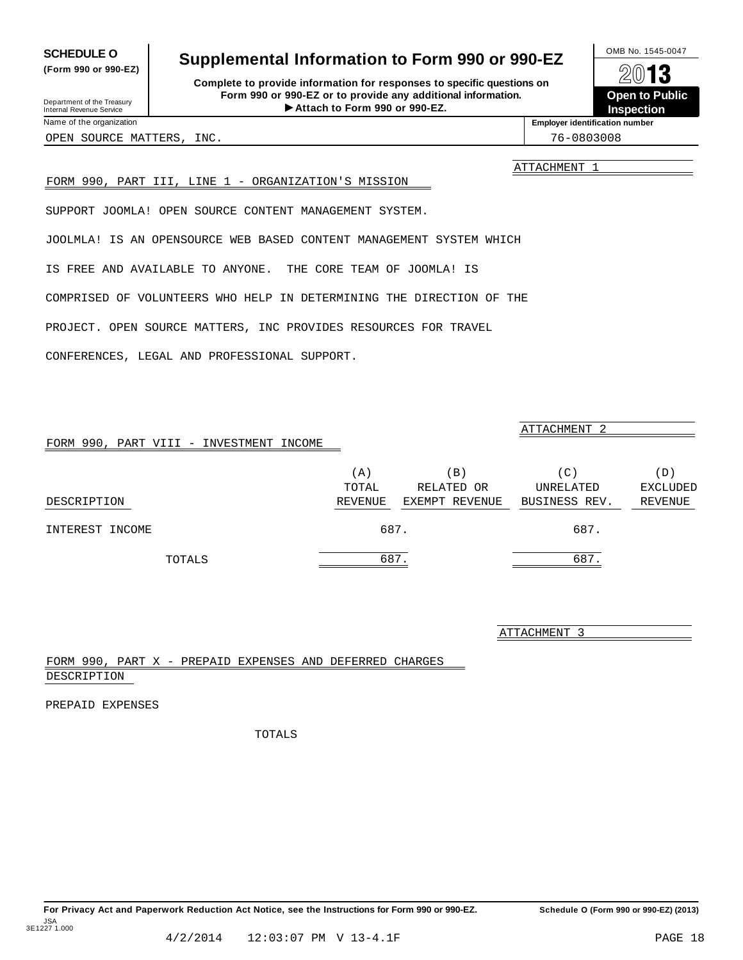PROJECT. OPEN SOURCE MATTERS, INC PROVIDES RESOURCES FOR TRAVEL

CONFERENCES, LEGAL AND PROFESSIONAL SUPPORT.

FORM 990, PART VIII - INVESTMENT INCOME

FORM 990, PART III, LINE 1 - ORGANIZATION'S MISSION

SUPPORT JOOMLA! OPEN SOURCE CONTENT MANAGEMENT SYSTEM.

JOOLMLA! IS AN OPENSOURCE WEB BASED CONTENT MANAGEMENT SYSTEM WHICH

COMPRISED OF VOLUNTEERS WHO HELP IN DETERMINING THE DIRECTION OF THE

IS FREE AND AVAILABLE TO ANYONE. THE CORE TEAM OF JOOMLA! IS

|                 | TOTAL   | RELATED OR     | UNRELATED     | <b>EXCLUDED</b> |
|-----------------|---------|----------------|---------------|-----------------|
| DESCRIPTION     | REVENUE | EXEMPT REVENUE | BUSINESS REV. | REVENUE         |
| INTEREST INCOME | 687.    |                | 687.          |                 |
| TOTALS          | 687.    |                | 687.          |                 |
|                 |         |                |               |                 |
|                 |         |                | 2 TTACUMENT 2 |                 |

#### FORM 990, PART X - PREPAID EXPENSES AND DEFERRED CHARGES DESCRIPTION

PREPAID EXPENSES

TOTALS

#### 4/2/2014 12:03:07 PM V 13-4.1F PAGE 18

### <span id="page-14-0"></span>**SCHEDULE O** Supplemental Information to Form 990 or 990-EZ  $\frac{100\text{dB No. }1545-0047}{\text{O}}$

**Complete to provide information for responses to specific questions on Form 990 or 990-EZ or to provide any additional information.** Fraction of the Proposes to specific questions on<br>
10-EZ or to provide any additional information.<br>
Attach to Form 990 or 990-EZ.<br>
Attach to Form 990 or 990-EZ. Department of the Treasury<br>Internal Revenue Service **Internal Revenue Service Concrete Concrete Concrete Participal Point Concrete Particip**<br> **Internal Revenue Service Concrete Participal Point Concrete Participal Point Co** 

**Open to Public Inspection**

**(Form 990 or 990-EZ)**

Name of the organization **intervalse of the organization intervalse of the organization intervalse of the organization intervalse of the organization intervalse of the organization intervalse of the organization** 

OPEN SOURCE MATTERS, INC. THE SOURCE OPEN SOURCE MATTERS, INC.

ATTACHMENT 1

ATTACHMENT 2

(A)  $(B)$  (C)  $(D)$ 

<u>ATTACHMENT</u>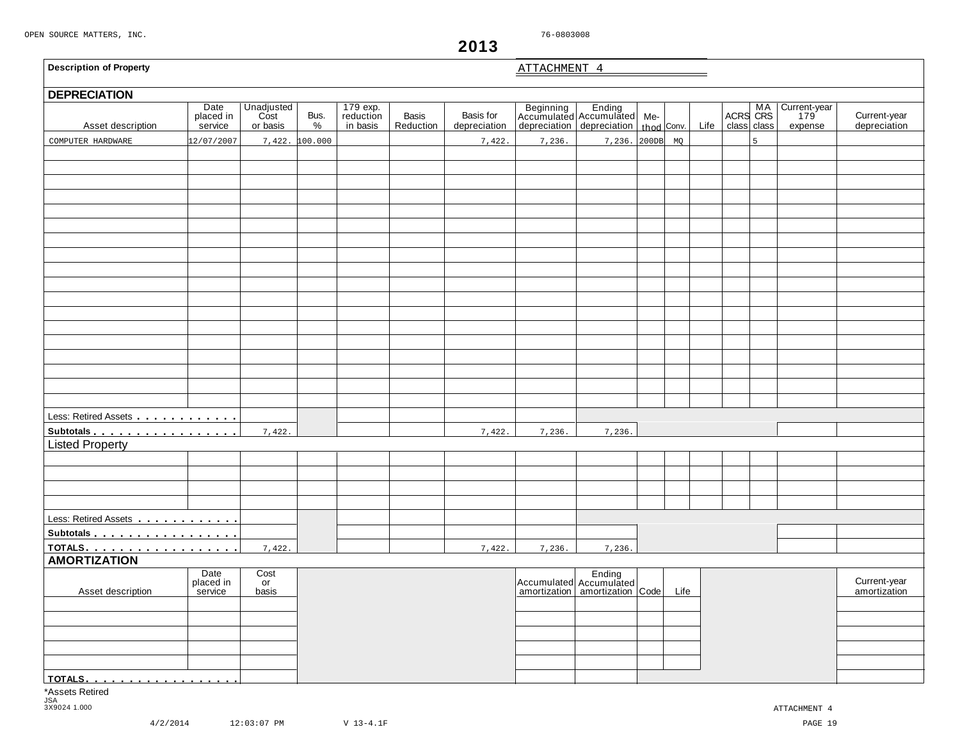<span id="page-15-0"></span>

| <b>Description of Property</b> |                              |                                |                |                                   |                           |                           | ATTACHMENT 4 |                                                                                         |      |      |                        |   |                                |                              |
|--------------------------------|------------------------------|--------------------------------|----------------|-----------------------------------|---------------------------|---------------------------|--------------|-----------------------------------------------------------------------------------------|------|------|------------------------|---|--------------------------------|------------------------------|
| <b>DEPRECIATION</b>            |                              |                                |                |                                   |                           |                           |              |                                                                                         |      |      |                        |   |                                |                              |
| Asset description              | Date<br>placed in<br>service | Unadjusted<br>Cost<br>or basis | Bus.<br>$\%$   | 179 exp.<br>reduction<br>in basis | <b>Basis</b><br>Reduction | Basis for<br>depreciation |              | Beginning Ending<br>Accumulated Accumulated Me-<br>depreciation depreciation thod Conv. |      | Life | ACRS MA<br>class class |   | Current-year<br>179<br>expense | Current-year<br>depreciation |
| COMPUTER HARDWARE              | 12/07/2007                   |                                | 7,422. 100.000 |                                   |                           | 7,422.                    | 7,236.       | 7,236. 200DB                                                                            | MQ   |      |                        | 5 |                                |                              |
|                                |                              |                                |                |                                   |                           |                           |              |                                                                                         |      |      |                        |   |                                |                              |
|                                |                              |                                |                |                                   |                           |                           |              |                                                                                         |      |      |                        |   |                                |                              |
|                                |                              |                                |                |                                   |                           |                           |              |                                                                                         |      |      |                        |   |                                |                              |
|                                |                              |                                |                |                                   |                           |                           |              |                                                                                         |      |      |                        |   |                                |                              |
|                                |                              |                                |                |                                   |                           |                           |              |                                                                                         |      |      |                        |   |                                |                              |
|                                |                              |                                |                |                                   |                           |                           |              |                                                                                         |      |      |                        |   |                                |                              |
|                                |                              |                                |                |                                   |                           |                           |              |                                                                                         |      |      |                        |   |                                |                              |
|                                |                              |                                |                |                                   |                           |                           |              |                                                                                         |      |      |                        |   |                                |                              |
|                                |                              |                                |                |                                   |                           |                           |              |                                                                                         |      |      |                        |   |                                |                              |
|                                |                              |                                |                |                                   |                           |                           |              |                                                                                         |      |      |                        |   |                                |                              |
|                                |                              |                                |                |                                   |                           |                           |              |                                                                                         |      |      |                        |   |                                |                              |
|                                |                              |                                |                |                                   |                           |                           |              |                                                                                         |      |      |                        |   |                                |                              |
|                                |                              |                                |                |                                   |                           |                           |              |                                                                                         |      |      |                        |   |                                |                              |
|                                |                              |                                |                |                                   |                           |                           |              |                                                                                         |      |      |                        |   |                                |                              |
|                                |                              |                                |                |                                   |                           |                           |              |                                                                                         |      |      |                        |   |                                |                              |
|                                |                              |                                |                |                                   |                           |                           |              |                                                                                         |      |      |                        |   |                                |                              |
|                                |                              |                                |                |                                   |                           |                           |              |                                                                                         |      |      |                        |   |                                |                              |
|                                |                              |                                |                |                                   |                           |                           |              |                                                                                         |      |      |                        |   |                                |                              |
|                                |                              |                                |                |                                   |                           |                           |              |                                                                                         |      |      |                        |   |                                |                              |
| Less: Retired Assets           |                              |                                |                |                                   |                           |                           |              |                                                                                         |      |      |                        |   |                                |                              |
| Subtotals                      |                              | 7,422.                         |                |                                   |                           | 7,422.                    | 7,236.       | 7,236.                                                                                  |      |      |                        |   |                                |                              |
| <b>Listed Property</b>         |                              |                                |                |                                   |                           |                           |              |                                                                                         |      |      |                        |   |                                |                              |
|                                |                              |                                |                |                                   |                           |                           |              |                                                                                         |      |      |                        |   |                                |                              |
|                                |                              |                                |                |                                   |                           |                           |              |                                                                                         |      |      |                        |   |                                |                              |
|                                |                              |                                |                |                                   |                           |                           |              |                                                                                         |      |      |                        |   |                                |                              |
|                                |                              |                                |                |                                   |                           |                           |              |                                                                                         |      |      |                        |   |                                |                              |
| Less: Retired Assets           |                              |                                |                |                                   |                           |                           |              |                                                                                         |      |      |                        |   |                                |                              |
| Subtotals                      |                              |                                |                |                                   |                           |                           |              |                                                                                         |      |      |                        |   |                                |                              |
| <u>TOTALS.</u>                 |                              | 7,422.                         |                |                                   |                           | 7,422.                    | 7,236.       | 7,236.                                                                                  |      |      |                        |   |                                |                              |
| <b>AMORTIZATION</b>            |                              |                                |                |                                   |                           |                           |              |                                                                                         |      |      |                        |   |                                |                              |
|                                | Date<br>placed in            | Cost<br>or                     |                |                                   |                           |                           |              | Accumulated Accumulated                                                                 |      |      |                        |   |                                | Current-year                 |
| Asset description              | service                      | basis                          |                |                                   |                           |                           |              | amortization   amortization   Code                                                      | Life |      |                        |   |                                | amortization                 |
|                                |                              |                                |                |                                   |                           |                           |              |                                                                                         |      |      |                        |   |                                |                              |
|                                |                              |                                |                |                                   |                           |                           |              |                                                                                         |      |      |                        |   |                                |                              |
|                                |                              |                                |                |                                   |                           |                           |              |                                                                                         |      |      |                        |   |                                |                              |
|                                |                              |                                |                |                                   |                           |                           |              |                                                                                         |      |      |                        |   |                                |                              |
|                                |                              |                                |                |                                   |                           |                           |              |                                                                                         |      |      |                        |   |                                |                              |
| <u>  TOTALS.</u>               |                              |                                |                |                                   |                           |                           |              |                                                                                         |      |      |                        |   |                                |                              |
| *Assets Retired                |                              |                                |                |                                   |                           |                           |              |                                                                                         |      |      |                        |   |                                |                              |
| <b>JSA</b><br>3X9024 1.000     |                              |                                |                |                                   |                           |                           |              |                                                                                         |      |      |                        |   | ATTACHMENT 4                   |                              |

**2013**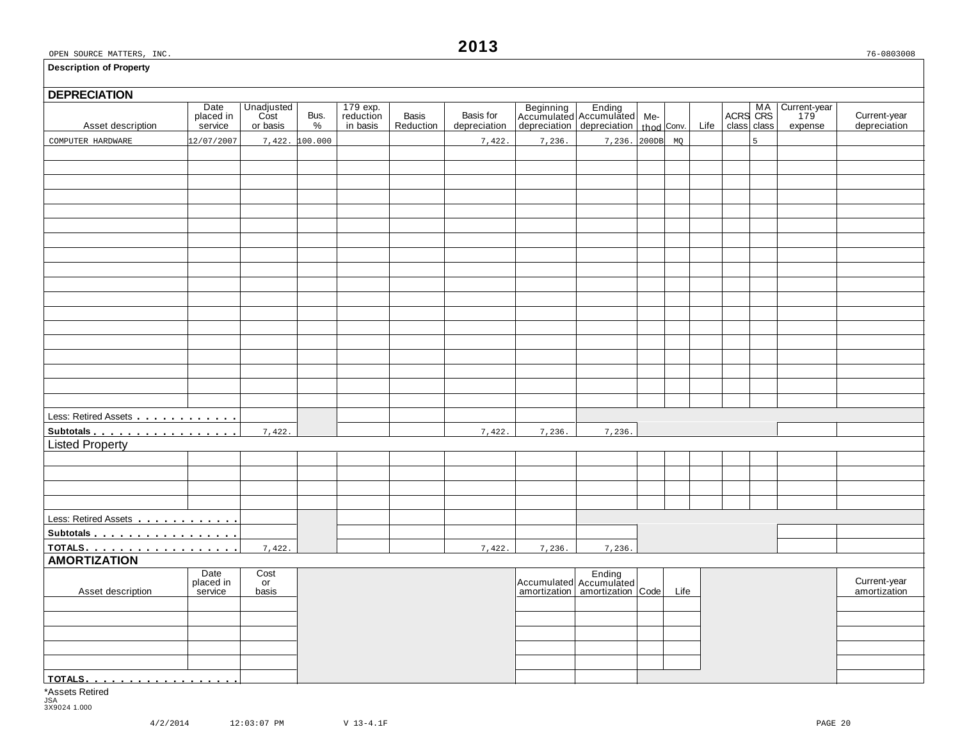# **DEPRECIATION** Asset description Date Unadjusted Bus. 179 exp. Basis Basis for Beginning Ending Me- MA Current-year placed in Cost Bus. reduction Basis Basis for Accumulated Accumulated Me- MA Current-year placed in Cost Bus. reduction B Less: Retired Assets **manual** m m m m m m m m m m **Subtotals material manufacturers**<br>Listed Property Less: Retired Assets m m m m m m m m m m m m Subtotals means and means many more more many more many more many more many  $\mathbf{S}$ **TOTALS** m m m m m m m m m m m m m m m m m m **AMORTIZATION** and Date Cost Date Cost Ending Ending<br>
Placed in or placed in the current-year late of Accumulated Accumulated Accumulated Life amortization amortization<br>
Asset description service basis amortization amortization amortizat **TOTALS** m m m m m m m m m m m m m m m m m m \*Assets Retired COMPUTER HARDWARE  $\begin{bmatrix} 12/07/2007 & 7,422 & 100.000 \end{bmatrix}$  7,422.  $\begin{bmatrix} 7,422 & 7,236. \end{bmatrix}$  7,236. 200DB MQ 7,422. 7,422. 7,422. 7,4236. 7,236. 7,422. 7,422. 7,422. 7,423. 7,236. 7,236.

JSA 3X9024 1.000